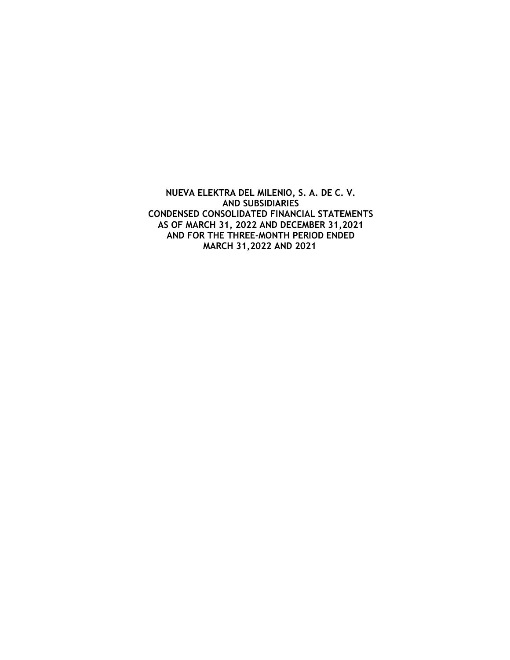**NUEVA ELEKTRA DEL MILENIO, S. A. DE C. V. AND SUBSIDIARIES CONDENSED CONSOLIDATED FINANCIAL STATEMENTS AS OF MARCH 31, 2022 AND DECEMBER 31,2021 AND FOR THE THREE-MONTH PERIOD ENDED MARCH 31,2022 AND 2021**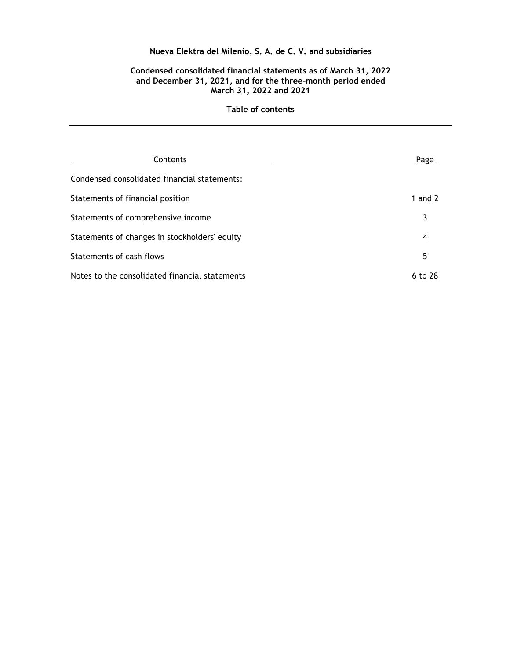## **Condensed consolidated financial statements as of March 31, 2022 and December 31, 2021, and for the three-month period ended March 31, 2022 and 2021**

| Contents                                       | Page      |
|------------------------------------------------|-----------|
| Condensed consolidated financial statements:   |           |
| Statements of financial position               | 1 and $2$ |
| Statements of comprehensive income             | 3         |
| Statements of changes in stockholders' equity  | 4         |
| Statements of cash flows                       | 5         |
| Notes to the consolidated financial statements | 6 to 28   |

### **Table of contents**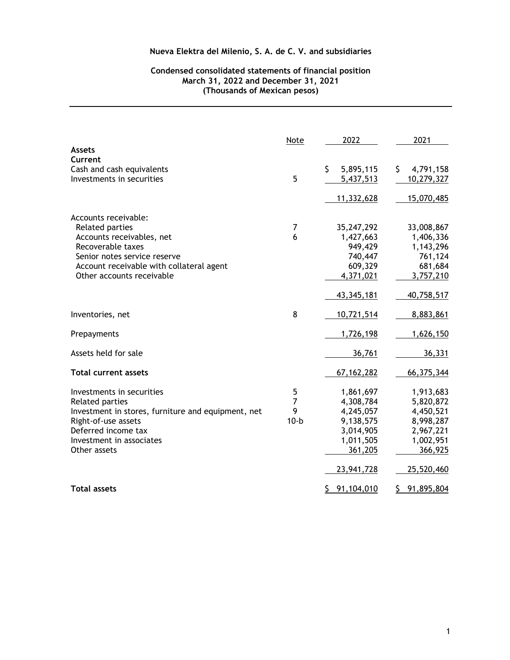## **Condensed consolidated statements of financial position March 31, 2022 and December 31, 2021 (Thousands of Mexican pesos)**

|                                                    | Note           | 2022              | 2021              |
|----------------------------------------------------|----------------|-------------------|-------------------|
| <b>Assets</b><br>Current                           |                |                   |                   |
| Cash and cash equivalents                          |                | \$<br>5,895,115   | \$<br>4,791,158   |
| Investments in securities                          | 5              | 5,437,513         | 10,279,327        |
|                                                    |                | 11,332,628        | 15,070,485        |
| Accounts receivable:                               |                |                   |                   |
| Related parties                                    | 7              | 35,247,292        | 33,008,867        |
| Accounts receivables, net                          | 6              | 1,427,663         | 1,406,336         |
| Recoverable taxes                                  |                | 949,429           | 1,143,296         |
| Senior notes service reserve                       |                | 740,447           | 761,124           |
| Account receivable with collateral agent           |                | 609,329           | 681,684           |
| Other accounts receivable                          |                | 4,371,021         | 3,757,210         |
|                                                    |                | 43,345,181        | 40,758,517        |
| Inventories, net                                   | 8              | 10,721,514        | 8,883,861         |
| Prepayments                                        |                | 1,726,198         | 1,626,150         |
| Assets held for sale                               |                | 36,761            | 36,331            |
| <b>Total current assets</b>                        |                | 67, 162, 282      | 66,375,344        |
| Investments in securities                          | 5              | 1,861,697         | 1,913,683         |
| Related parties                                    | $\overline{7}$ | 4,308,784         | 5,820,872         |
| Investment in stores, furniture and equipment, net | 9              | 4,245,057         | 4,450,521         |
| Right-of-use assets                                | $10-b$         | 9,138,575         | 8,998,287         |
| Deferred income tax                                |                | 3,014,905         | 2,967,221         |
| Investment in associates                           |                | 1,011,505         | 1,002,951         |
| Other assets                                       |                | 361,205           | 366,925           |
|                                                    |                | 23,941,728        | 25,520,460        |
| <b>Total assets</b>                                |                | \$.<br>91,104,010 | \$.<br>91,895,804 |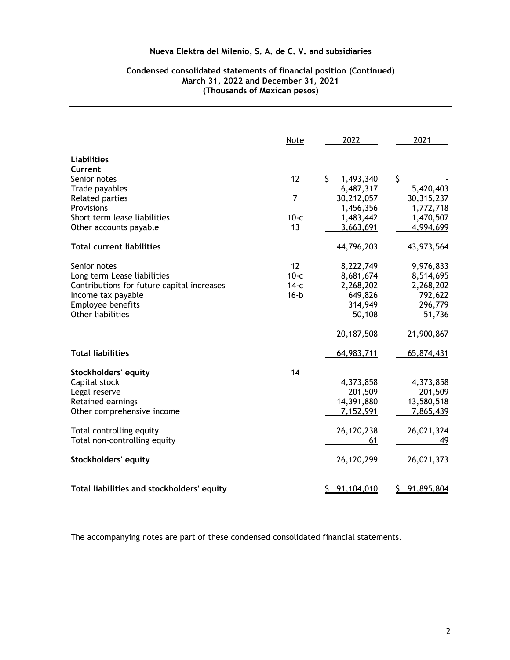## **Condensed consolidated statements of financial position (Continued) March 31, 2022 and December 31, 2021 (Thousands of Mexican pesos)**

|                                            | Note   | 2022             | 2021             |
|--------------------------------------------|--------|------------------|------------------|
| <b>Liabilities</b>                         |        |                  |                  |
| Current                                    |        |                  |                  |
| Senior notes                               | 12     | \$<br>1,493,340  | \$               |
| Trade payables                             |        | 6,487,317        | 5,420,403        |
| <b>Related parties</b>                     | 7      | 30,212,057       | 30,315,237       |
| Provisions                                 |        | 1,456,356        | 1,772,718        |
| Short term lease liabilities               | $10-c$ | 1,483,442        | 1,470,507        |
| Other accounts payable                     | 13     | 3,663,691        | 4,994,699        |
| <b>Total current liabilities</b>           |        | 44,796,203       | 43,973,564       |
| Senior notes                               | 12     | 8,222,749        | 9,976,833        |
| Long term Lease liabilities                | $10-c$ | 8,681,674        | 8,514,695        |
| Contributions for future capital increases | $14-c$ | 2,268,202        | 2,268,202        |
| Income tax payable                         | $16-b$ | 649,826          | 792,622          |
| Employee benefits                          |        | 314,949          | 296,779          |
| Other liabilities                          |        | 50,108           | 51,736           |
|                                            |        | 20,187,508       | 21,900,867       |
| <b>Total liabilities</b>                   |        | 64,983,711       | 65,874,431       |
| <b>Stockholders' equity</b>                | 14     |                  |                  |
| Capital stock                              |        | 4,373,858        | 4,373,858        |
| Legal reserve                              |        | 201,509          | 201,509          |
| Retained earnings                          |        | 14,391,880       | 13,580,518       |
| Other comprehensive income                 |        | 7,152,991        | 7,865,439        |
| Total controlling equity                   |        | 26,120,238       | 26,021,324       |
| Total non-controlling equity               |        | 61               | 49               |
| Stockholders' equity                       |        | 26,120,299       | 26,021,373       |
| Total liabilities and stockholders' equity |        | \$<br>91,104,010 | 91,895,804<br>\$ |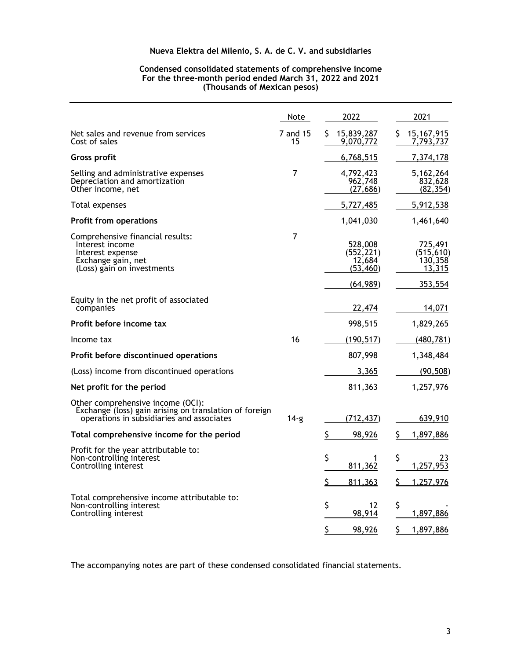### **Condensed consolidated statements of comprehensive income For the three-month period ended March 31, 2022 and 2021 (Thousands of Mexican pesos)**

|                                                                                                                                          | Note           | 2022                                                      | 2021                                                  |
|------------------------------------------------------------------------------------------------------------------------------------------|----------------|-----------------------------------------------------------|-------------------------------------------------------|
| Net sales and revenue from services<br>Cost of sales                                                                                     | 7 and 15<br>15 | 15,839,287<br>\$.<br>9,070,772                            | 15, 167, 915<br>\$.<br>7,793,737                      |
| <b>Gross profit</b>                                                                                                                      |                | 6,768,515                                                 | 7,374,178                                             |
| Selling and administrative expenses<br>Depreciation and amortization<br>Other income, net                                                | $\overline{7}$ | 4,792,423<br>962,748<br>(27, 686)                         | 5,162,264<br>832,628<br>(82, 354)                     |
| Total expenses                                                                                                                           |                | 5,727,485                                                 | 5,912,538                                             |
| <b>Profit from operations</b>                                                                                                            |                | 1,041,030                                                 | 1,461,640                                             |
| Comprehensive financial results:<br>Interest income<br>Interest expense<br>Exchange gain, net<br>(Loss) gain on investments              | $\overline{7}$ | 528,008<br>(552, 221)<br>12,684<br>(53, 460)<br>(64, 989) | 725,491<br>(515, 610)<br>130,358<br>13,315<br>353,554 |
| Equity in the net profit of associated<br>companies                                                                                      |                | 22,474                                                    | 14,071                                                |
| Profit before income tax                                                                                                                 |                | 998,515                                                   | 1,829,265                                             |
| Income tax                                                                                                                               | 16             | (190, 517)                                                | (480, 781)                                            |
| Profit before discontinued operations                                                                                                    |                | 807,998                                                   | 1,348,484                                             |
| (Loss) income from discontinued operations                                                                                               |                | 3,365                                                     | (90, 508)                                             |
| Net profit for the period                                                                                                                |                | 811,363                                                   | 1,257,976                                             |
| Other comprehensive income (OCI):<br>Exchange (loss) gain arising on translation of foreign<br>operations in subsidiaries and associates | 14-g           | (712, 437)                                                | 639,910                                               |
| Total comprehensive income for the period                                                                                                |                | \$<br>98,926                                              | <u>\$</u><br>1,897,886                                |
| Profit for the year attributable to:<br>Non-controlling interest<br>Controlling interest                                                 |                | \$<br>1<br>811,362<br>\$<br>811,363                       | \$<br>23<br>1,257,953<br>1,257,976<br>S               |
| Total comprehensive income attributable to:<br>Non-controlling interest<br>Controlling interest                                          |                | \$<br>12<br>98,914<br>\$<br>98,926                        | \$<br>1,897,886<br>\$<br>1,897,886                    |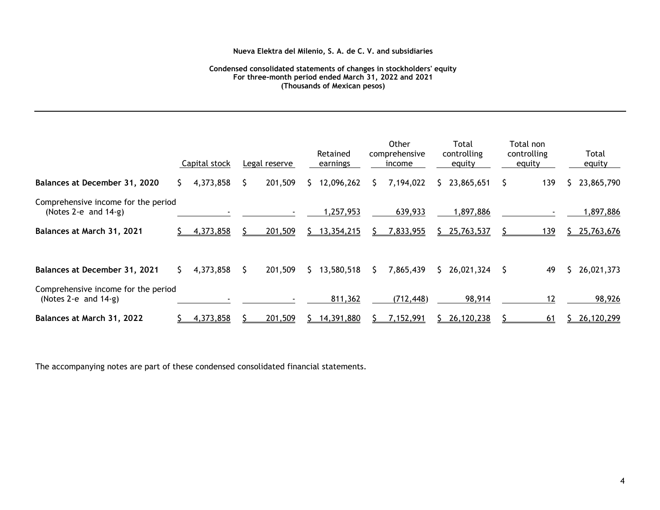#### **Condensed consolidated statements of changes in stockholders' equity For three-month period ended March 31, 2022 and 2021 (Thousands of Mexican pesos)**

|                                                                |               |    |               |    |                      |    | Other                   |              | Total                 |   | Total non             |                 |
|----------------------------------------------------------------|---------------|----|---------------|----|----------------------|----|-------------------------|--------------|-----------------------|---|-----------------------|-----------------|
|                                                                | Capital stock |    | Legal reserve |    | Retained<br>earnings |    | comprehensive<br>income |              | controlling<br>equity |   | controlling<br>equity | Total<br>equity |
| Balances at December 31, 2020                                  | 4,373,858     |    | 201,509       | S. | 12,096,262           | S  | 7,194,022               | $\mathsf{S}$ | 23,865,651            | S | 139                   | 23,865,790      |
| Comprehensive income for the period<br>(Notes 2-e and $14-g$ ) |               |    |               |    | 1,257,953            |    | 639,933                 |              | 1,897,886             |   |                       | 1,897,886       |
| Balances at March 31, 2021                                     | 4,373,858     |    | 201,509       |    | 13,354,215           |    | 7,833,955               |              | 25,763,537            |   | 139                   | 25,763,676      |
| Balances at December 31, 2021                                  | 4,373,858     | S. | 201,509       | S. | 13,580,518           | S. | 7,865,439               |              | $$26,021,324$ \$      |   | 49                    | 26,021,373      |
| Comprehensive income for the period<br>(Notes 2-e and $14-g$ ) |               |    |               |    | 811,362              |    | (712, 448)              |              | 98,914                |   | 12                    | 98,926          |
| Balances at March 31, 2022                                     | 4,373,858     |    | 201,509       |    | 14,391,880           |    | 7,152,991               |              | 26,120,238            |   | 61                    | 26,120,299      |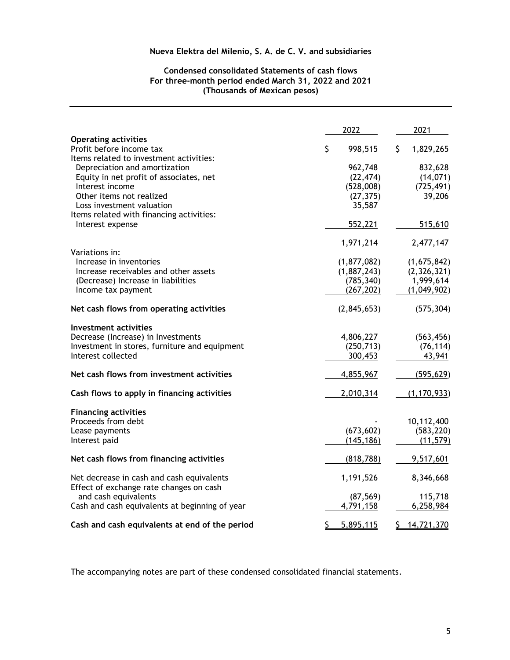## **Condensed consolidated Statements of cash flows For three-month period ended March 31, 2022 and 2021 (Thousands of Mexican pesos)**

|                                                                                                    | 2022            | 2021            |
|----------------------------------------------------------------------------------------------------|-----------------|-----------------|
| <b>Operating activities</b><br>Profit before income tax<br>Items related to investment activities: | \$<br>998,515   | \$<br>1,829,265 |
| Depreciation and amortization                                                                      | 962,748         | 832,628         |
| Equity in net profit of associates, net                                                            | (22, 474)       | (14, 071)       |
| Interest income                                                                                    | (528,008)       | (725, 491)      |
| Other items not realized                                                                           | (27, 375)       | 39,206          |
| Loss investment valuation                                                                          | 35,587          |                 |
| Items related with financing activities:                                                           |                 |                 |
| Interest expense                                                                                   | 552,221         | 515,610         |
|                                                                                                    | 1,971,214       | 2,477,147       |
| Variations in:                                                                                     |                 |                 |
| Increase in inventories                                                                            | (1,877,082)     | (1,675,842)     |
| Increase receivables and other assets                                                              | (1,887,243)     | (2, 326, 321)   |
| (Decrease) Increase in liabilities                                                                 | (785, 340)      | 1,999,614       |
| Income tax payment                                                                                 | (267, 202)      | (1,049,902)     |
| Net cash flows from operating activities                                                           | (2,845,653)     | (575, 304)      |
| Investment activities                                                                              |                 |                 |
| Decrease (Increase) in Investments                                                                 | 4,806,227       | (563, 456)      |
| Investment in stores, furniture and equipment                                                      | (250, 713)      | (76, 114)       |
| Interest collected                                                                                 | 300,453         | 43,941          |
| Net cash flows from investment activities                                                          | 4,855,967       | (595, 629)      |
| Cash flows to apply in financing activities                                                        | 2,010,314       | (1, 170, 933)   |
| <b>Financing activities</b>                                                                        |                 |                 |
| Proceeds from debt                                                                                 |                 | 10,112,400      |
| Lease payments                                                                                     | (673, 602)      | (583, 220)      |
| Interest paid                                                                                      | (145, 186)      | (11, 579)       |
| Net cash flows from financing activities                                                           | (818, 788)      | 9,517,601       |
| Net decrease in cash and cash equivalents                                                          | 1,191,526       | 8,346,668       |
| Effect of exchange rate changes on cash                                                            |                 |                 |
| and cash equivalents                                                                               | (87, 569)       | 115,718         |
| Cash and cash equivalents at beginning of year                                                     | 4,791,158       | 6,258,984       |
| Cash and cash equivalents at end of the period                                                     | \$<br>5,895,115 | \$14,721,370    |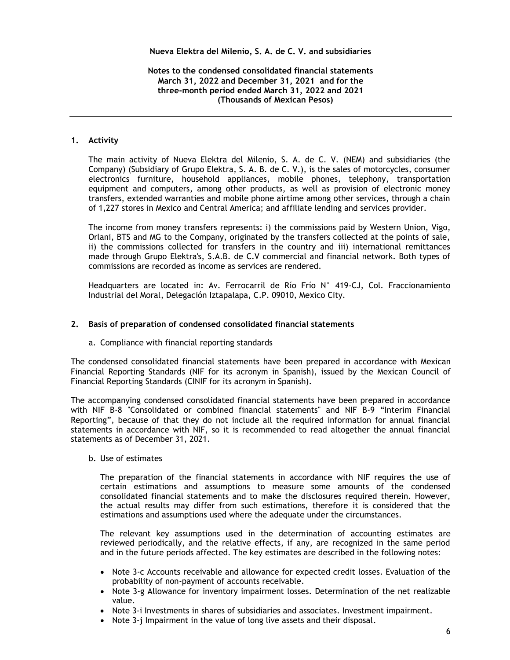## **Notes to the condensed consolidated financial statements March 31, 2022 and December 31, 2021 and for the three-month period ended March 31, 2022 and 2021 (Thousands of Mexican Pesos)**

## **1. Activity**

The main activity of Nueva Elektra del Milenio, S. A. de C. V. (NEM) and subsidiaries (the Company) (Subsidiary of Grupo Elektra, S. A. B. de C. V.), is the sales of motorcycles, consumer electronics furniture, household appliances, mobile phones, telephony, transportation equipment and computers, among other products, as well as provision of electronic money transfers, extended warranties and mobile phone airtime among other services, through a chain of 1,227 stores in Mexico and Central America; and affiliate lending and services provider.

The income from money transfers represents: i) the commissions paid by Western Union, Vigo, Orlani, BTS and MG to the Company, originated by the transfers collected at the points of sale, ii) the commissions collected for transfers in the country and iii) international remittances made through Grupo Elektra's, S.A.B. de C.V commercial and financial network. Both types of commissions are recorded as income as services are rendered.

Headquarters are located in: Av. Ferrocarril de Río Frío N° 419-CJ, Col. Fraccionamiento Industrial del Moral, Delegación Iztapalapa, C.P. 09010, Mexico City.

### **2. Basis of preparation of condensed consolidated financial statements**

a. Compliance with financial reporting standards

The condensed consolidated financial statements have been prepared in accordance with Mexican Financial Reporting Standards (NIF for its acronym in Spanish), issued by the Mexican Council of Financial Reporting Standards (CINIF for its acronym in Spanish).

The accompanying condensed consolidated financial statements have been prepared in accordance with NIF B-8 "Consolidated or combined financial statements" and NIF B-9 "Interim Financial Reporting", because of that they do not include all the required information for annual financial statements in accordance with NIF, so it is recommended to read altogether the annual financial statements as of December 31, 2021.

## b. Use of estimates

The preparation of the financial statements in accordance with NIF requires the use of certain estimations and assumptions to measure some amounts of the condensed consolidated financial statements and to make the disclosures required therein. However, the actual results may differ from such estimations, therefore it is considered that the estimations and assumptions used where the adequate under the circumstances.

The relevant key assumptions used in the determination of accounting estimates are reviewed periodically, and the relative effects, if any, are recognized in the same period and in the future periods affected. The key estimates are described in the following notes:

- Note 3-c Accounts receivable and allowance for expected credit losses. Evaluation of the probability of non-payment of accounts receivable.
- Note 3-g Allowance for inventory impairment losses. Determination of the net realizable value.
- Note 3-i Investments in shares of subsidiaries and associates. Investment impairment.
- Note 3-j Impairment in the value of long live assets and their disposal.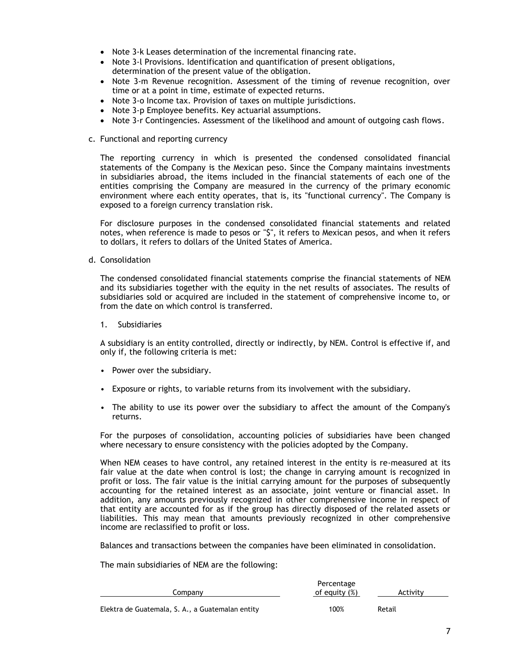- Note 3-k Leases determination of the incremental financing rate.
- Note 3-l Provisions. Identification and quantification of present obligations, determination of the present value of the obligation.
- Note 3-m Revenue recognition. Assessment of the timing of revenue recognition, over time or at a point in time, estimate of expected returns.
- Note 3-o Income tax. Provision of taxes on multiple jurisdictions.
- Note 3-p Employee benefits. Key actuarial assumptions.
- Note 3-r Contingencies. Assessment of the likelihood and amount of outgoing cash flows.
- c. Functional and reporting currency

The reporting currency in which is presented the condensed consolidated financial statements of the Company is the Mexican peso. Since the Company maintains investments in subsidiaries abroad, the items included in the financial statements of each one of the entities comprising the Company are measured in the currency of the primary economic environment where each entity operates, that is, its "functional currency". The Company is exposed to a foreign currency translation risk.

For disclosure purposes in the condensed consolidated financial statements and related notes, when reference is made to pesos or "\$", it refers to Mexican pesos, and when it refers to dollars, it refers to dollars of the United States of America.

d. Consolidation

The condensed consolidated financial statements comprise the financial statements of NEM and its subsidiaries together with the equity in the net results of associates. The results of subsidiaries sold or acquired are included in the statement of comprehensive income to, or from the date on which control is transferred.

1. Subsidiaries

A subsidiary is an entity controlled, directly or indirectly, by NEM. Control is effective if, and only if, the following criteria is met:

- Power over the subsidiary.
- Exposure or rights, to variable returns from its involvement with the subsidiary.
- The ability to use its power over the subsidiary to affect the amount of the Company's returns.

For the purposes of consolidation, accounting policies of subsidiaries have been changed where necessary to ensure consistency with the policies adopted by the Company.

When NEM ceases to have control, any retained interest in the entity is re-measured at its fair value at the date when control is lost; the change in carrying amount is recognized in profit or loss. The fair value is the initial carrying amount for the purposes of subsequently accounting for the retained interest as an associate, joint venture or financial asset. In addition, any amounts previously recognized in other comprehensive income in respect of that entity are accounted for as if the group has directly disposed of the related assets or liabilities. This may mean that amounts previously recognized in other comprehensive income are reclassified to profit or loss.

Balances and transactions between the companies have been eliminated in consolidation.

The main subsidiaries of NEM are the following:

|                                                  | Percentage    |          |
|--------------------------------------------------|---------------|----------|
| Company                                          | of equity (%) | Activity |
|                                                  |               |          |
| Elektra de Guatemala, S. A., a Guatemalan entity | 100%          | Retail   |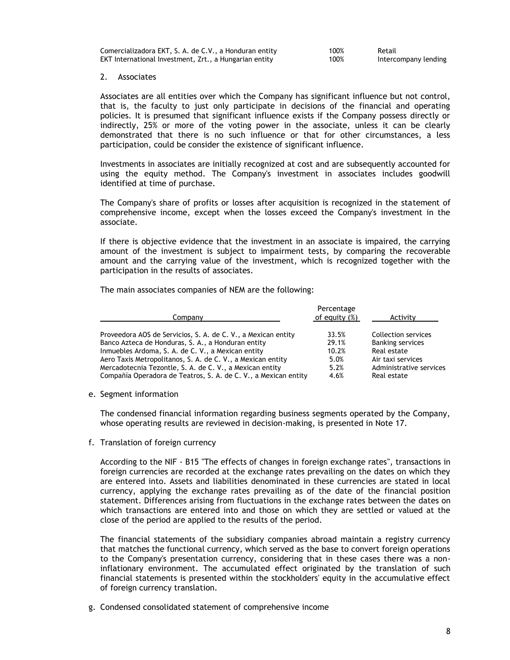| Comercializadora EKT, S. A. de C.V., a Honduran entity | 100% | Retail  |
|--------------------------------------------------------|------|---------|
| EKT International Investment, Zrt., a Hungarian entity | 100% | Interco |

100% Intercompany lending

#### 2. Associates

Associates are all entities over which the Company has significant influence but not control, that is, the faculty to just only participate in decisions of the financial and operating policies. It is presumed that significant influence exists if the Company possess directly or indirectly, 25% or more of the voting power in the associate, unless it can be clearly demonstrated that there is no such influence or that for other circumstances, a less participation, could be consider the existence of significant influence.

Investments in associates are initially recognized at cost and are subsequently accounted for using the equity method. The Company's investment in associates includes goodwill identified at time of purchase.

The Company's share of profits or losses after acquisition is recognized in the statement of comprehensive income, except when the losses exceed the Company's investment in the associate.

If there is objective evidence that the investment in an associate is impaired, the carrying amount of the investment is subject to impairment tests, by comparing the recoverable amount and the carrying value of the investment, which is recognized together with the participation in the results of associates.

The main associates companies of NEM are the following:

| Company                                                         | Percentage<br>of equity (%) | Activity                |
|-----------------------------------------------------------------|-----------------------------|-------------------------|
| Proveedora AOS de Servicios, S. A. de C. V., a Mexican entity   | 33.5%                       | Collection services     |
| Banco Azteca de Honduras, S. A., a Honduran entity              | 29.1%                       | <b>Banking services</b> |
| Inmuebles Ardoma, S. A. de C. V., a Mexican entity              | 10.2%                       | Real estate             |
| Aero Taxis Metropolitanos, S. A. de C. V., a Mexican entity     | 5.0%                        | Air taxi services       |
| Mercadotecnia Tezontle, S. A. de C. V., a Mexican entity        | 5.2%                        | Administrative services |
| Compañía Operadora de Teatros, S. A. de C. V., a Mexican entity | 4.6%                        | Real estate             |

e. Segment information

The condensed financial information regarding business segments operated by the Company, whose operating results are reviewed in decision-making, is presented in Note 17.

f. Translation of foreign currency

According to the NIF - B15 "The effects of changes in foreign exchange rates", transactions in foreign currencies are recorded at the exchange rates prevailing on the dates on which they are entered into. Assets and liabilities denominated in these currencies are stated in local currency, applying the exchange rates prevailing as of the date of the financial position statement. Differences arising from fluctuations in the exchange rates between the dates on which transactions are entered into and those on which they are settled or valued at the close of the period are applied to the results of the period.

The financial statements of the subsidiary companies abroad maintain a registry currency that matches the functional currency, which served as the base to convert foreign operations to the Company's presentation currency, considering that in these cases there was a noninflationary environment. The accumulated effect originated by the translation of such financial statements is presented within the stockholders' equity in the accumulative effect of foreign currency translation.

g. Condensed consolidated statement of comprehensive income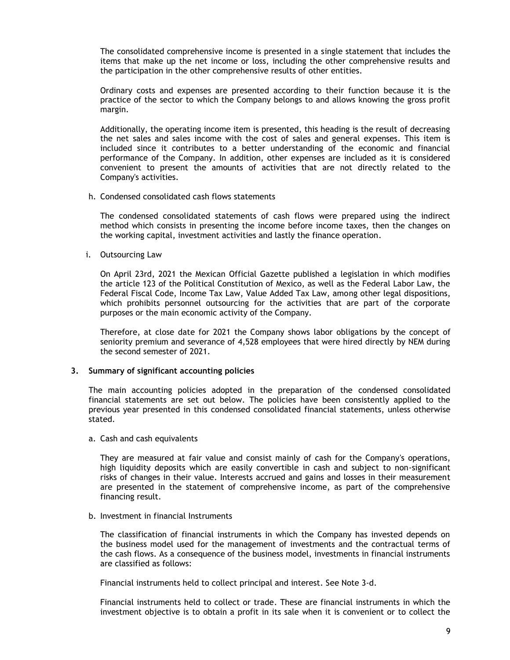The consolidated comprehensive income is presented in a single statement that includes the items that make up the net income or loss, including the other comprehensive results and the participation in the other comprehensive results of other entities.

Ordinary costs and expenses are presented according to their function because it is the practice of the sector to which the Company belongs to and allows knowing the gross profit margin.

Additionally, the operating income item is presented, this heading is the result of decreasing the net sales and sales income with the cost of sales and general expenses. This item is included since it contributes to a better understanding of the economic and financial performance of the Company. In addition, other expenses are included as it is considered convenient to present the amounts of activities that are not directly related to the Company's activities.

h. Condensed consolidated cash flows statements

The condensed consolidated statements of cash flows were prepared using the indirect method which consists in presenting the income before income taxes, then the changes on the working capital, investment activities and lastly the finance operation.

i. Outsourcing Law

On April 23rd, 2021 the Mexican Official Gazette published a legislation in which modifies the article 123 of the Political Constitution of Mexico, as well as the Federal Labor Law, the Federal Fiscal Code, Income Tax Law, Value Added Tax Law, among other legal dispositions, which prohibits personnel outsourcing for the activities that are part of the corporate purposes or the main economic activity of the Company.

Therefore, at close date for 2021 the Company shows labor obligations by the concept of seniority premium and severance of 4,528 employees that were hired directly by NEM during the second semester of 2021.

## **3. Summary of significant accounting policies**

The main accounting policies adopted in the preparation of the condensed consolidated financial statements are set out below. The policies have been consistently applied to the previous year presented in this condensed consolidated financial statements, unless otherwise stated.

a. Cash and cash equivalents

They are measured at fair value and consist mainly of cash for the Company's operations, high liquidity deposits which are easily convertible in cash and subject to non-significant risks of changes in their value. Interests accrued and gains and losses in their measurement are presented in the statement of comprehensive income, as part of the comprehensive financing result.

b. Investment in financial Instruments

The classification of financial instruments in which the Company has invested depends on the business model used for the management of investments and the contractual terms of the cash flows. As a consequence of the business model, investments in financial instruments are classified as follows:

Financial instruments held to collect principal and interest. See Note 3-d.

Financial instruments held to collect or trade. These are financial instruments in which the investment objective is to obtain a profit in its sale when it is convenient or to collect the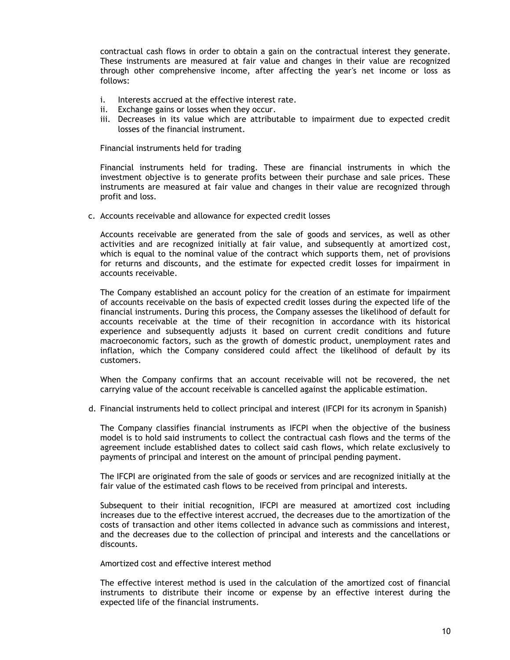contractual cash flows in order to obtain a gain on the contractual interest they generate. These instruments are measured at fair value and changes in their value are recognized through other comprehensive income, after affecting the year's net income or loss as follows:

- i. Interests accrued at the effective interest rate.
- ii. Exchange gains or losses when they occur.
- iii. Decreases in its value which are attributable to impairment due to expected credit losses of the financial instrument.

Financial instruments held for trading

Financial instruments held for trading. These are financial instruments in which the investment objective is to generate profits between their purchase and sale prices. These instruments are measured at fair value and changes in their value are recognized through profit and loss.

c. Accounts receivable and allowance for expected credit losses

Accounts receivable are generated from the sale of goods and services, as well as other activities and are recognized initially at fair value, and subsequently at amortized cost, which is equal to the nominal value of the contract which supports them, net of provisions for returns and discounts, and the estimate for expected credit losses for impairment in accounts receivable.

The Company established an account policy for the creation of an estimate for impairment of accounts receivable on the basis of expected credit losses during the expected life of the financial instruments. During this process, the Company assesses the likelihood of default for accounts receivable at the time of their recognition in accordance with its historical experience and subsequently adjusts it based on current credit conditions and future macroeconomic factors, such as the growth of domestic product, unemployment rates and inflation, which the Company considered could affect the likelihood of default by its customers.

When the Company confirms that an account receivable will not be recovered, the net carrying value of the account receivable is cancelled against the applicable estimation.

d. Financial instruments held to collect principal and interest (IFCPI for its acronym in Spanish)

The Company classifies financial instruments as IFCPI when the objective of the business model is to hold said instruments to collect the contractual cash flows and the terms of the agreement include established dates to collect said cash flows, which relate exclusively to payments of principal and interest on the amount of principal pending payment.

The IFCPI are originated from the sale of goods or services and are recognized initially at the fair value of the estimated cash flows to be received from principal and interests.

Subsequent to their initial recognition, IFCPI are measured at amortized cost including increases due to the effective interest accrued, the decreases due to the amortization of the costs of transaction and other items collected in advance such as commissions and interest, and the decreases due to the collection of principal and interests and the cancellations or discounts.

Amortized cost and effective interest method

The effective interest method is used in the calculation of the amortized cost of financial instruments to distribute their income or expense by an effective interest during the expected life of the financial instruments.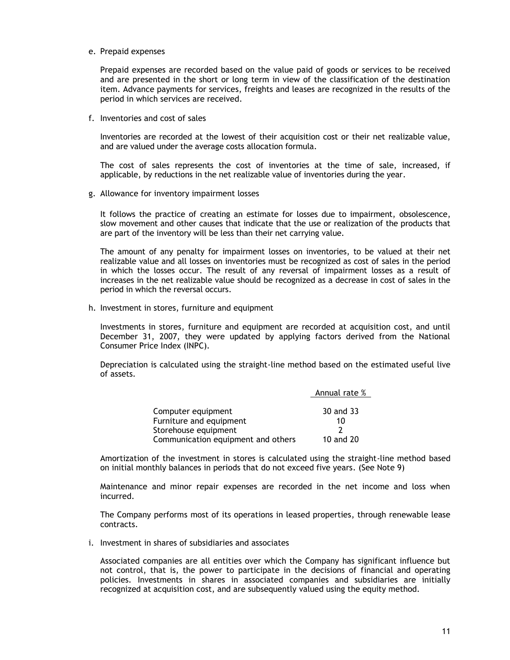e. Prepaid expenses

Prepaid expenses are recorded based on the value paid of goods or services to be received and are presented in the short or long term in view of the classification of the destination item. Advance payments for services, freights and leases are recognized in the results of the period in which services are received.

f. Inventories and cost of sales

Inventories are recorded at the lowest of their acquisition cost or their net realizable value, and are valued under the average costs allocation formula.

The cost of sales represents the cost of inventories at the time of sale, increased, if applicable, by reductions in the net realizable value of inventories during the year.

g. Allowance for inventory impairment losses

It follows the practice of creating an estimate for losses due to impairment, obsolescence, slow movement and other causes that indicate that the use or realization of the products that are part of the inventory will be less than their net carrying value.

The amount of any penalty for impairment losses on inventories, to be valued at their net realizable value and all losses on inventories must be recognized as cost of sales in the period in which the losses occur. The result of any reversal of impairment losses as a result of increases in the net realizable value should be recognized as a decrease in cost of sales in the period in which the reversal occurs.

h. Investment in stores, furniture and equipment

Investments in stores, furniture and equipment are recorded at acquisition cost, and until December 31, 2007, they were updated by applying factors derived from the National Consumer Price Index (INPC).

Depreciation is calculated using the straight-line method based on the estimated useful live of assets.

|                                    | Annual rate % |
|------------------------------------|---------------|
|                                    |               |
| Computer equipment                 | 30 and 33     |
| Furniture and equipment            | 10            |
| Storehouse equipment               |               |
| Communication equipment and others | 10 and 20     |

Amortization of the investment in stores is calculated using the straight-line method based on initial monthly balances in periods that do not exceed five years. (See Note 9)

Maintenance and minor repair expenses are recorded in the net income and loss when incurred.

The Company performs most of its operations in leased properties, through renewable lease contracts.

i. Investment in shares of subsidiaries and associates

Associated companies are all entities over which the Company has significant influence but not control, that is, the power to participate in the decisions of financial and operating policies. Investments in shares in associated companies and subsidiaries are initially recognized at acquisition cost, and are subsequently valued using the equity method.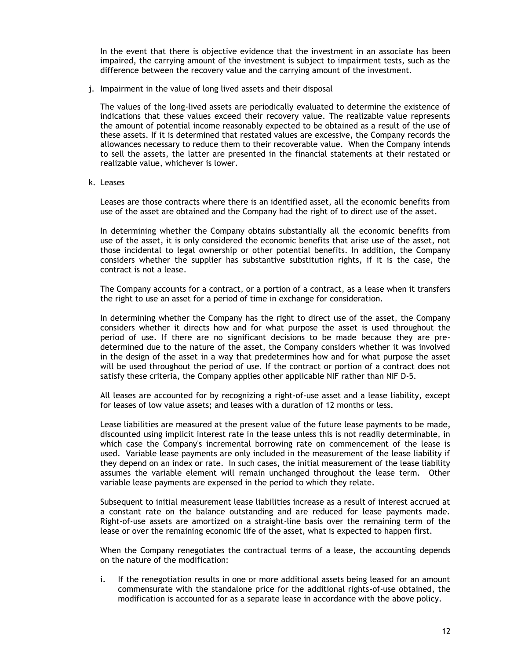In the event that there is objective evidence that the investment in an associate has been impaired, the carrying amount of the investment is subject to impairment tests, such as the difference between the recovery value and the carrying amount of the investment.

j. Impairment in the value of long lived assets and their disposal

The values of the long-lived assets are periodically evaluated to determine the existence of indications that these values exceed their recovery value. The realizable value represents the amount of potential income reasonably expected to be obtained as a result of the use of these assets. If it is determined that restated values are excessive, the Company records the allowances necessary to reduce them to their recoverable value. When the Company intends to sell the assets, the latter are presented in the financial statements at their restated or realizable value, whichever is lower.

k. Leases

Leases are those contracts where there is an identified asset, all the economic benefits from use of the asset are obtained and the Company had the right of to direct use of the asset.

In determining whether the Company obtains substantially all the economic benefits from use of the asset, it is only considered the economic benefits that arise use of the asset, not those incidental to legal ownership or other potential benefits. In addition, the Company considers whether the supplier has substantive substitution rights, if it is the case, the contract is not a lease.

The Company accounts for a contract, or a portion of a contract, as a lease when it transfers the right to use an asset for a period of time in exchange for consideration.

In determining whether the Company has the right to direct use of the asset, the Company considers whether it directs how and for what purpose the asset is used throughout the period of use. If there are no significant decisions to be made because they are predetermined due to the nature of the asset, the Company considers whether it was involved in the design of the asset in a way that predetermines how and for what purpose the asset will be used throughout the period of use. If the contract or portion of a contract does not satisfy these criteria, the Company applies other applicable NIF rather than NIF D-5.

All leases are accounted for by recognizing a right-of-use asset and a lease liability, except for leases of low value assets; and leases with a duration of 12 months or less.

Lease liabilities are measured at the present value of the future lease payments to be made, discounted using implicit interest rate in the lease unless this is not readily determinable, in which case the Company's incremental borrowing rate on commencement of the lease is used. Variable lease payments are only included in the measurement of the lease liability if they depend on an index or rate. In such cases, the initial measurement of the lease liability assumes the variable element will remain unchanged throughout the lease term. Other variable lease payments are expensed in the period to which they relate.

Subsequent to initial measurement lease liabilities increase as a result of interest accrued at a constant rate on the balance outstanding and are reduced for lease payments made. Right-of-use assets are amortized on a straight-line basis over the remaining term of the lease or over the remaining economic life of the asset, what is expected to happen first.

When the Company renegotiates the contractual terms of a lease, the accounting depends on the nature of the modification:

i. If the renegotiation results in one or more additional assets being leased for an amount commensurate with the standalone price for the additional rights-of-use obtained, the modification is accounted for as a separate lease in accordance with the above policy.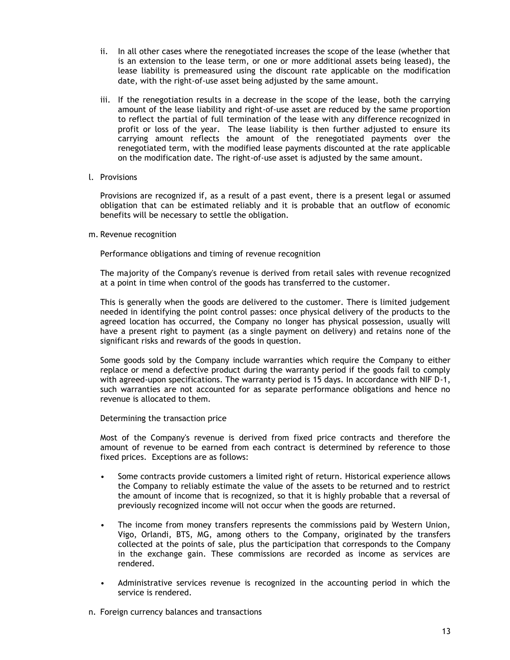- ii. In all other cases where the renegotiated increases the scope of the lease (whether that is an extension to the lease term, or one or more additional assets being leased), the lease liability is premeasured using the discount rate applicable on the modification date, with the right-of-use asset being adjusted by the same amount.
- iii. If the renegotiation results in a decrease in the scope of the lease, both the carrying amount of the lease liability and right-of-use asset are reduced by the same proportion to reflect the partial of full termination of the lease with any difference recognized in profit or loss of the year. The lease liability is then further adjusted to ensure its carrying amount reflects the amount of the renegotiated payments over the renegotiated term, with the modified lease payments discounted at the rate applicable on the modification date. The right-of-use asset is adjusted by the same amount.
- l. Provisions

Provisions are recognized if, as a result of a past event, there is a present legal or assumed obligation that can be estimated reliably and it is probable that an outflow of economic benefits will be necessary to settle the obligation.

m. Revenue recognition

Performance obligations and timing of revenue recognition

The majority of the Company's revenue is derived from retail sales with revenue recognized at a point in time when control of the goods has transferred to the customer.

This is generally when the goods are delivered to the customer. There is limited judgement needed in identifying the point control passes: once physical delivery of the products to the agreed location has occurred, the Company no longer has physical possession, usually will have a present right to payment (as a single payment on delivery) and retains none of the significant risks and rewards of the goods in question.

Some goods sold by the Company include warranties which require the Company to either replace or mend a defective product during the warranty period if the goods fail to comply with agreed-upon specifications. The warranty period is 15 days. In accordance with NIF D-1, such warranties are not accounted for as separate performance obligations and hence no revenue is allocated to them.

Determining the transaction price

Most of the Company's revenue is derived from fixed price contracts and therefore the amount of revenue to be earned from each contract is determined by reference to those fixed prices. Exceptions are as follows:

- Some contracts provide customers a limited right of return. Historical experience allows the Company to reliably estimate the value of the assets to be returned and to restrict the amount of income that is recognized, so that it is highly probable that a reversal of previously recognized income will not occur when the goods are returned.
- The income from money transfers represents the commissions paid by Western Union, Vigo, Orlandi, BTS, MG, among others to the Company, originated by the transfers collected at the points of sale, plus the participation that corresponds to the Company in the exchange gain. These commissions are recorded as income as services are rendered.
- Administrative services revenue is recognized in the accounting period in which the service is rendered.
- n. Foreign currency balances and transactions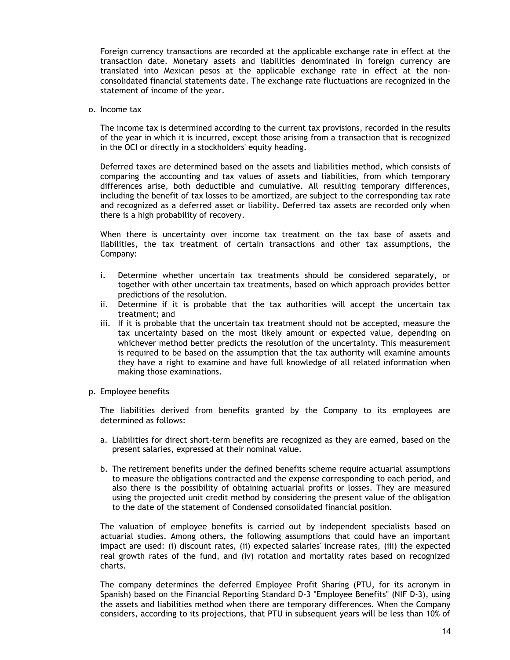Foreign currency transactions are recorded at the applicable exchange rate in effect at the transaction date. Monetary assets and liabilities denominated in foreign currency are translated into Mexican pesos at the applicable exchange rate in effect at the nonconsolidated financial statements date. The exchange rate fluctuations are recognized in the statement of income of the year.

o. Income tax

The income tax is determined according to the current tax provisions, recorded in the results of the year in which it is incurred, except those arising from a transaction that is recognized in the OCI or directly in a stockholders' equity heading.

Deferred taxes are determined based on the assets and liabilities method, which consists of comparing the accounting and tax values of assets and liabilities, from which temporary differences arise, both deductible and cumulative. All resulting temporary differences, including the benefit of tax losses to be amortized, are subject to the corresponding tax rate and recognized as a deferred asset or liability. Deferred tax assets are recorded only when there is a high probability of recovery.

When there is uncertainty over income tax treatment on the tax base of assets and liabilities, the tax treatment of certain transactions and other tax assumptions, the Company:

- i. Determine whether uncertain tax treatments should be considered separately, or together with other uncertain tax treatments, based on which approach provides better predictions of the resolution.
- ii. Determine if it is probable that the tax authorities will accept the uncertain tax treatment; and
- iii. If it is probable that the uncertain tax treatment should not be accepted, measure the tax uncertainty based on the most likely amount or expected value, depending on whichever method better predicts the resolution of the uncertainty. This measurement is required to be based on the assumption that the tax authority will examine amounts they have a right to examine and have full knowledge of all related information when making those examinations.
- p. Employee benefits

The liabilities derived from benefits granted by the Company to its employees are determined as follows:

- a. Liabilities for direct short-term benefits are recognized as they are earned, based on the present salaries, expressed at their nominal value.
- b. The retirement benefits under the defined benefits scheme require actuarial assumptions to measure the obligations contracted and the expense corresponding to each period, and also there is the possibility of obtaining actuarial profits or losses. They are measured using the projected unit credit method by considering the present value of the obligation to the date of the statement of Condensed consolidated financial position.

The valuation of employee benefits is carried out by independent specialists based on actuarial studies. Among others, the following assumptions that could have an important impact are used: (i) discount rates, (ii) expected salaries' increase rates, (iii) the expected real growth rates of the fund, and (iv) rotation and mortality rates based on recognized charts.

The company determines the deferred Employee Profit Sharing (PTU, for its acronym in Spanish) based on the Financial Reporting Standard D-3 "Employee Benefits" (NIF D-3), using the assets and liabilities method when there are temporary differences. When the Company considers, according to its projections, that PTU in subsequent years will be less than 10% of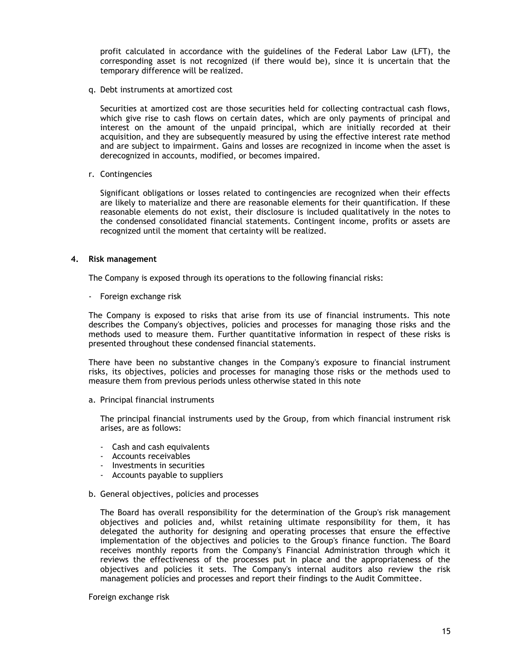profit calculated in accordance with the guidelines of the Federal Labor Law (LFT), the corresponding asset is not recognized (if there would be), since it is uncertain that the temporary difference will be realized.

q. Debt instruments at amortized cost

Securities at amortized cost are those securities held for collecting contractual cash flows, which give rise to cash flows on certain dates, which are only payments of principal and interest on the amount of the unpaid principal, which are initially recorded at their acquisition, and they are subsequently measured by using the effective interest rate method and are subject to impairment. Gains and losses are recognized in income when the asset is derecognized in accounts, modified, or becomes impaired.

r. Contingencies

Significant obligations or losses related to contingencies are recognized when their effects are likely to materialize and there are reasonable elements for their quantification. If these reasonable elements do not exist, their disclosure is included qualitatively in the notes to the condensed consolidated financial statements. Contingent income, profits or assets are recognized until the moment that certainty will be realized.

### **4. Risk management**

The Company is exposed through its operations to the following financial risks:

- Foreign exchange risk

The Company is exposed to risks that arise from its use of financial instruments. This note describes the Company's objectives, policies and processes for managing those risks and the methods used to measure them. Further quantitative information in respect of these risks is presented throughout these condensed financial statements.

There have been no substantive changes in the Company's exposure to financial instrument risks, its objectives, policies and processes for managing those risks or the methods used to measure them from previous periods unless otherwise stated in this note

a. Principal financial instruments

The principal financial instruments used by the Group, from which financial instrument risk arises, are as follows:

- Cash and cash equivalents
- Accounts receivables
- Investments in securities
- Accounts payable to suppliers
- b. General objectives, policies and processes

The Board has overall responsibility for the determination of the Group's risk management objectives and policies and, whilst retaining ultimate responsibility for them, it has delegated the authority for designing and operating processes that ensure the effective implementation of the objectives and policies to the Group's finance function. The Board receives monthly reports from the Company's Financial Administration through which it reviews the effectiveness of the processes put in place and the appropriateness of the objectives and policies it sets. The Company's internal auditors also review the risk management policies and processes and report their findings to the Audit Committee.

Foreign exchange risk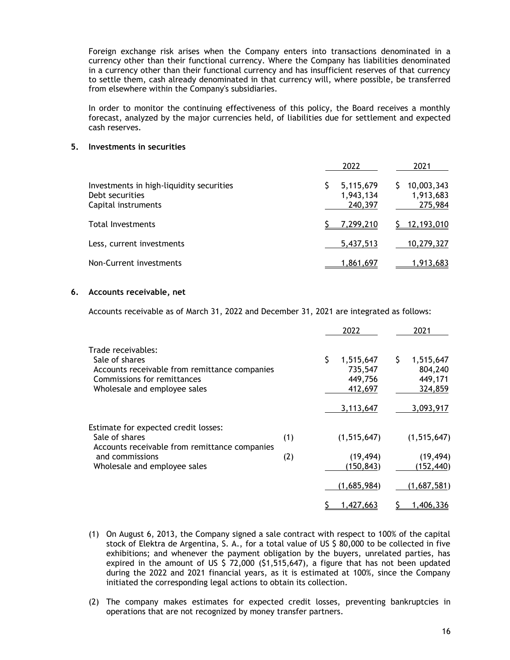Foreign exchange risk arises when the Company enters into transactions denominated in a currency other than their functional currency. Where the Company has liabilities denominated in a currency other than their functional currency and has insufficient reserves of that currency to settle them, cash already denominated in that currency will, where possible, be transferred from elsewhere within the Company's subsidiaries.

In order to monitor the continuing effectiveness of this policy, the Board receives a monthly forecast, analyzed by the major currencies held, of liabilities due for settlement and expected cash reserves.

## **5. Investments in securities**

|                                                                                    | 2022                              | 2021                               |
|------------------------------------------------------------------------------------|-----------------------------------|------------------------------------|
| Investments in high-liquidity securities<br>Debt securities<br>Capital instruments | 5,115,679<br>1,943,134<br>240,397 | 10,003,343<br>1,913,683<br>275,984 |
| Total Investments                                                                  | 7,299,210                         | \$12,193,010                       |
| Less, current investments                                                          | 5,437,513                         | 10,279,327                         |
| Non-Current investments                                                            | 1,861,697                         | 1,913,683                          |

### **6. Accounts receivable, net**

Accounts receivable as of March 31, 2022 and December 31, 2021 are integrated as follows:

|                                                                                                                                                      |     |   | 2022                                       |    | 2021                                       |
|------------------------------------------------------------------------------------------------------------------------------------------------------|-----|---|--------------------------------------------|----|--------------------------------------------|
| Trade receivables:<br>Sale of shares<br>Accounts receivable from remittance companies<br>Commissions for remittances<br>Wholesale and employee sales |     | S | 1,515,647<br>735,547<br>449,756<br>412,697 | Ş. | 1,515,647<br>804,240<br>449,171<br>324,859 |
|                                                                                                                                                      |     |   | 3,113,647                                  |    | 3,093,917                                  |
| Estimate for expected credit losses:<br>Sale of shares                                                                                               | (1) |   | (1, 515, 647)                              |    | (1, 515, 647)                              |
| Accounts receivable from remittance companies<br>and commissions<br>Wholesale and employee sales                                                     | (2) |   | (19, 494)<br>(150, 843)                    |    | (19, 494)<br>(152, 440)                    |
|                                                                                                                                                      |     |   | (1,685,984)                                |    | (1,687,581)                                |
|                                                                                                                                                      |     |   | <u>427,663</u> ,                           |    | 1,406,336                                  |

- (1) On August 6, 2013, the Company signed a sale contract with respect to 100% of the capital stock of Elektra de Argentina, S. A., for a total value of US \$ 80,000 to be collected in five exhibitions; and whenever the payment obligation by the buyers, unrelated parties, has expired in the amount of US  $$ 72,000$  ( $$1,515,647$ ), a figure that has not been updated during the 2022 and 2021 financial years, as it is estimated at 100%, since the Company initiated the corresponding legal actions to obtain its collection.
- (2) The company makes estimates for expected credit losses, preventing bankruptcies in operations that are not recognized by money transfer partners.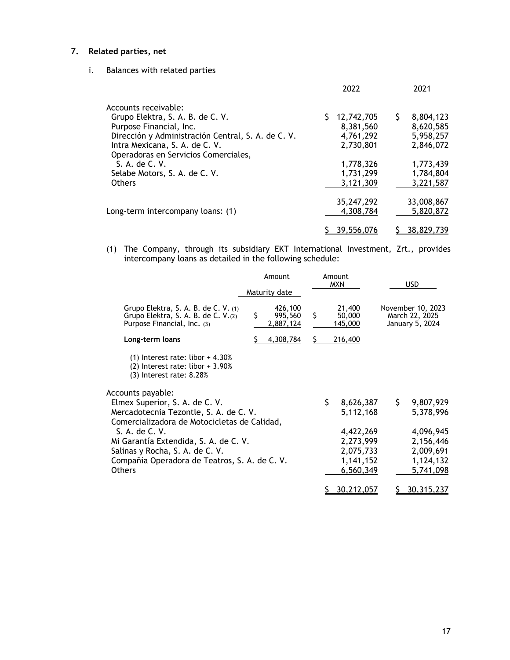# **7. Related parties, net**

i. Balances with related parties

|                                                    | 2022       | 2021       |
|----------------------------------------------------|------------|------------|
| Accounts receivable:                               |            |            |
| Grupo Elektra, S. A. B. de C. V.                   | 12,742,705 | 8,804,123  |
| Purpose Financial, Inc.                            | 8,381,560  | 8,620,585  |
| Dirección y Administración Central, S. A. de C. V. | 4,761,292  | 5,958,257  |
| Intra Mexicana, S. A. de C. V.                     | 2,730,801  | 2,846,072  |
| Operadoras en Servicios Comerciales,               |            |            |
| S. A. de C. V.                                     | 1,778,326  | 1,773,439  |
| Selabe Motors, S. A. de C. V.                      | 1,731,299  | 1,784,804  |
| <b>Others</b>                                      | 3,121,309  | 3,221,587  |
|                                                    | 35,247,292 | 33,008,867 |
| Long-term intercompany loans: (1)                  | 4,308,784  | 5,820,872  |
|                                                    | 39,556,076 | 38,829,739 |
|                                                    |            |            |

(1) The Company, through its subsidiary EKT International Investment, Zrt., provides intercompany loans as detailed in the following schedule:

|                                                                                                                                                              | Amount<br>Maturity date                            |                    | Amount<br><b>MXN</b>                                          |     | <b>USD</b>                                                    |
|--------------------------------------------------------------------------------------------------------------------------------------------------------------|----------------------------------------------------|--------------------|---------------------------------------------------------------|-----|---------------------------------------------------------------|
| Grupo Elektra, S. A. B. de C. V. (1)<br>Grupo Elektra, S. A. B. de C. V.(2)<br>Purpose Financial, Inc. (3)<br>Long-term loans                                | 426,100<br>\$<br>995,560<br>2,887,124<br>4,308,784 | $\mathsf{\hat{S}}$ | 21,400<br>50,000<br>145,000<br>216,400                        |     | November 10, 2023<br>March 22, 2025<br>January 5, 2024        |
| $(1)$ Interest rate: libor + 4.30%<br>$(2)$ Interest rate: libor + 3.90%<br>$(3)$ Interest rate: 8.28%                                                       |                                                    |                    |                                                               |     |                                                               |
| Accounts payable:<br>Elmex Superior, S. A. de C. V.<br>Mercadotecnia Tezontle, S. A. de C. V.<br>Comercializadora de Motocicletas de Calidad,                |                                                    | \$.                | 8,626,387<br>5,112,168                                        | \$. | 9,807,929<br>5,378,996                                        |
| S. A. de C. V.<br>Mi Garantía Extendida, S. A. de C. V.<br>Salinas y Rocha, S. A. de C. V.<br>Compañía Operadora de Teatros, S. A. de C. V.<br><b>Others</b> |                                                    |                    | 4,422,269<br>2,273,999<br>2,075,733<br>1,141,152<br>6,560,349 |     | 4,096,945<br>2,156,446<br>2,009,691<br>1,124,132<br>5,741,098 |
|                                                                                                                                                              |                                                    |                    | 30,212,057                                                    |     | 30,315,237                                                    |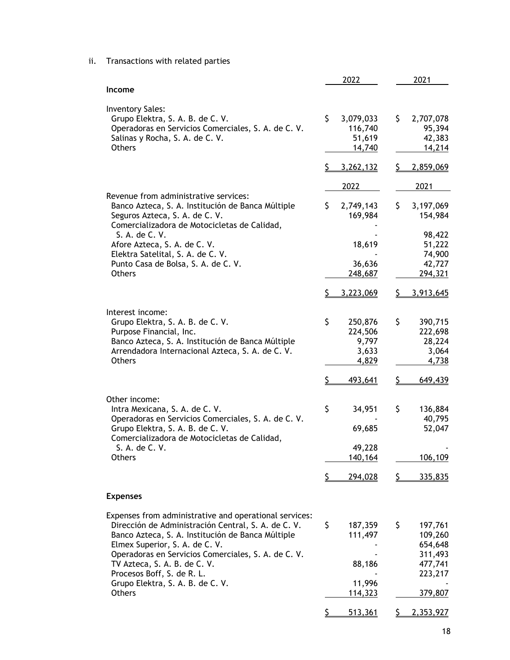ii. Transactions with related parties

| Income<br><b>Inventory Sales:</b><br>\$<br>\$<br>Grupo Elektra, S. A. B. de C. V.<br>3,079,033<br>2,707,078<br>95,394<br>Operadoras en Servicios Comerciales, S. A. de C. V.<br>116,740<br>Salinas y Rocha, S. A. de C. V.<br>51,619<br><b>Others</b><br>14,740<br>\$<br>3,262,132<br><u>\$</u><br>2022<br>2021<br>Revenue from administrative services:<br>\$<br>\$<br>Banco Azteca, S. A. Institución de Banca Múltiple<br>2,749,143<br>Seguros Azteca, S. A. de C. V.<br>169,984<br>Comercializadora de Motocicletas de Calidad,<br>S. A. de C. V.<br>Afore Azteca, S. A. de C. V.<br>18,619<br>Elektra Satelital, S. A. de C. V.<br>36,636<br>Punto Casa de Bolsa, S. A. de C. V.<br>294,321<br>Others<br>248,687<br>\$<br>3,223,069<br><u>s</u><br>Interest income:<br>\$<br>\$<br>Grupo Elektra, S. A. B. de C. V.<br>250,876<br>Purpose Financial, Inc.<br>224,506<br>Banco Azteca, S. A. Institución de Banca Múltiple<br>9,797<br>Arrendadora Internacional Azteca, S. A. de C. V.<br>3,633<br>Others<br>4,829<br>Ś<br>Š.<br>493,641<br>Other income:<br>\$<br>\$<br>Intra Mexicana, S. A. de C. V.<br>34,951<br>Operadoras en Servicios Comerciales, S. A. de C. V.<br>69,685<br>Grupo Elektra, S. A. B. de C. V.<br>Comercializadora de Motocicletas de Calidad,<br>49,228<br>S. A. de C. V.<br>Others<br>140,164<br>\$<br>\$<br>294,028<br><b>Expenses</b><br>Expenses from administrative and operational services:<br>\$<br>\$<br>Dirección de Administración Central, S. A. de C. V.<br>187,359<br>Banco Azteca, S. A. Institución de Banca Múltiple<br>111,497<br>Elmex Superior, S. A. de C. V.<br>Operadoras en Servicios Comerciales, S. A. de C. V.<br>TV Azteca, S. A. B. de C. V.<br>88,186<br>Procesos Boff, S. de R. L.<br>11,996<br>Grupo Elektra, S. A. B. de C. V.<br>Others<br>379,807<br><u>114,323</u><br>\$<br>513,361<br>S | 2022 | 2021 |
|------------------------------------------------------------------------------------------------------------------------------------------------------------------------------------------------------------------------------------------------------------------------------------------------------------------------------------------------------------------------------------------------------------------------------------------------------------------------------------------------------------------------------------------------------------------------------------------------------------------------------------------------------------------------------------------------------------------------------------------------------------------------------------------------------------------------------------------------------------------------------------------------------------------------------------------------------------------------------------------------------------------------------------------------------------------------------------------------------------------------------------------------------------------------------------------------------------------------------------------------------------------------------------------------------------------------------------------------------------------------------------------------------------------------------------------------------------------------------------------------------------------------------------------------------------------------------------------------------------------------------------------------------------------------------------------------------------------------------------------------------------------------------------------------------------------------------------------------------------|------|------|
|                                                                                                                                                                                                                                                                                                                                                                                                                                                                                                                                                                                                                                                                                                                                                                                                                                                                                                                                                                                                                                                                                                                                                                                                                                                                                                                                                                                                                                                                                                                                                                                                                                                                                                                                                                                                                                                            |      |      |
|                                                                                                                                                                                                                                                                                                                                                                                                                                                                                                                                                                                                                                                                                                                                                                                                                                                                                                                                                                                                                                                                                                                                                                                                                                                                                                                                                                                                                                                                                                                                                                                                                                                                                                                                                                                                                                                            |      |      |
|                                                                                                                                                                                                                                                                                                                                                                                                                                                                                                                                                                                                                                                                                                                                                                                                                                                                                                                                                                                                                                                                                                                                                                                                                                                                                                                                                                                                                                                                                                                                                                                                                                                                                                                                                                                                                                                            |      |      |
| 42,383<br>14,214<br>2,859,069<br>3,197,069<br>154,984<br>98,422<br>51,222<br>74,900<br>42,727<br>3,913,645<br>390,715<br>222,698<br>28,224<br>3,064<br>4,738<br>649,439<br>136,884<br>40,795<br>52,047<br>106,109<br>335,835<br>197,761<br>109,260<br>654,648<br>311,493<br>477,741<br>223,217<br>2,353,927                                                                                                                                                                                                                                                                                                                                                                                                                                                                                                                                                                                                                                                                                                                                                                                                                                                                                                                                                                                                                                                                                                                                                                                                                                                                                                                                                                                                                                                                                                                                                |      |      |
|                                                                                                                                                                                                                                                                                                                                                                                                                                                                                                                                                                                                                                                                                                                                                                                                                                                                                                                                                                                                                                                                                                                                                                                                                                                                                                                                                                                                                                                                                                                                                                                                                                                                                                                                                                                                                                                            |      |      |
|                                                                                                                                                                                                                                                                                                                                                                                                                                                                                                                                                                                                                                                                                                                                                                                                                                                                                                                                                                                                                                                                                                                                                                                                                                                                                                                                                                                                                                                                                                                                                                                                                                                                                                                                                                                                                                                            |      |      |
|                                                                                                                                                                                                                                                                                                                                                                                                                                                                                                                                                                                                                                                                                                                                                                                                                                                                                                                                                                                                                                                                                                                                                                                                                                                                                                                                                                                                                                                                                                                                                                                                                                                                                                                                                                                                                                                            |      |      |
|                                                                                                                                                                                                                                                                                                                                                                                                                                                                                                                                                                                                                                                                                                                                                                                                                                                                                                                                                                                                                                                                                                                                                                                                                                                                                                                                                                                                                                                                                                                                                                                                                                                                                                                                                                                                                                                            |      |      |
|                                                                                                                                                                                                                                                                                                                                                                                                                                                                                                                                                                                                                                                                                                                                                                                                                                                                                                                                                                                                                                                                                                                                                                                                                                                                                                                                                                                                                                                                                                                                                                                                                                                                                                                                                                                                                                                            |      |      |
|                                                                                                                                                                                                                                                                                                                                                                                                                                                                                                                                                                                                                                                                                                                                                                                                                                                                                                                                                                                                                                                                                                                                                                                                                                                                                                                                                                                                                                                                                                                                                                                                                                                                                                                                                                                                                                                            |      |      |
|                                                                                                                                                                                                                                                                                                                                                                                                                                                                                                                                                                                                                                                                                                                                                                                                                                                                                                                                                                                                                                                                                                                                                                                                                                                                                                                                                                                                                                                                                                                                                                                                                                                                                                                                                                                                                                                            |      |      |
|                                                                                                                                                                                                                                                                                                                                                                                                                                                                                                                                                                                                                                                                                                                                                                                                                                                                                                                                                                                                                                                                                                                                                                                                                                                                                                                                                                                                                                                                                                                                                                                                                                                                                                                                                                                                                                                            |      |      |
|                                                                                                                                                                                                                                                                                                                                                                                                                                                                                                                                                                                                                                                                                                                                                                                                                                                                                                                                                                                                                                                                                                                                                                                                                                                                                                                                                                                                                                                                                                                                                                                                                                                                                                                                                                                                                                                            |      |      |
|                                                                                                                                                                                                                                                                                                                                                                                                                                                                                                                                                                                                                                                                                                                                                                                                                                                                                                                                                                                                                                                                                                                                                                                                                                                                                                                                                                                                                                                                                                                                                                                                                                                                                                                                                                                                                                                            |      |      |
|                                                                                                                                                                                                                                                                                                                                                                                                                                                                                                                                                                                                                                                                                                                                                                                                                                                                                                                                                                                                                                                                                                                                                                                                                                                                                                                                                                                                                                                                                                                                                                                                                                                                                                                                                                                                                                                            |      |      |
|                                                                                                                                                                                                                                                                                                                                                                                                                                                                                                                                                                                                                                                                                                                                                                                                                                                                                                                                                                                                                                                                                                                                                                                                                                                                                                                                                                                                                                                                                                                                                                                                                                                                                                                                                                                                                                                            |      |      |
|                                                                                                                                                                                                                                                                                                                                                                                                                                                                                                                                                                                                                                                                                                                                                                                                                                                                                                                                                                                                                                                                                                                                                                                                                                                                                                                                                                                                                                                                                                                                                                                                                                                                                                                                                                                                                                                            |      |      |
|                                                                                                                                                                                                                                                                                                                                                                                                                                                                                                                                                                                                                                                                                                                                                                                                                                                                                                                                                                                                                                                                                                                                                                                                                                                                                                                                                                                                                                                                                                                                                                                                                                                                                                                                                                                                                                                            |      |      |
|                                                                                                                                                                                                                                                                                                                                                                                                                                                                                                                                                                                                                                                                                                                                                                                                                                                                                                                                                                                                                                                                                                                                                                                                                                                                                                                                                                                                                                                                                                                                                                                                                                                                                                                                                                                                                                                            |      |      |
|                                                                                                                                                                                                                                                                                                                                                                                                                                                                                                                                                                                                                                                                                                                                                                                                                                                                                                                                                                                                                                                                                                                                                                                                                                                                                                                                                                                                                                                                                                                                                                                                                                                                                                                                                                                                                                                            |      |      |
|                                                                                                                                                                                                                                                                                                                                                                                                                                                                                                                                                                                                                                                                                                                                                                                                                                                                                                                                                                                                                                                                                                                                                                                                                                                                                                                                                                                                                                                                                                                                                                                                                                                                                                                                                                                                                                                            |      |      |
|                                                                                                                                                                                                                                                                                                                                                                                                                                                                                                                                                                                                                                                                                                                                                                                                                                                                                                                                                                                                                                                                                                                                                                                                                                                                                                                                                                                                                                                                                                                                                                                                                                                                                                                                                                                                                                                            |      |      |
|                                                                                                                                                                                                                                                                                                                                                                                                                                                                                                                                                                                                                                                                                                                                                                                                                                                                                                                                                                                                                                                                                                                                                                                                                                                                                                                                                                                                                                                                                                                                                                                                                                                                                                                                                                                                                                                            |      |      |
|                                                                                                                                                                                                                                                                                                                                                                                                                                                                                                                                                                                                                                                                                                                                                                                                                                                                                                                                                                                                                                                                                                                                                                                                                                                                                                                                                                                                                                                                                                                                                                                                                                                                                                                                                                                                                                                            |      |      |
|                                                                                                                                                                                                                                                                                                                                                                                                                                                                                                                                                                                                                                                                                                                                                                                                                                                                                                                                                                                                                                                                                                                                                                                                                                                                                                                                                                                                                                                                                                                                                                                                                                                                                                                                                                                                                                                            |      |      |
|                                                                                                                                                                                                                                                                                                                                                                                                                                                                                                                                                                                                                                                                                                                                                                                                                                                                                                                                                                                                                                                                                                                                                                                                                                                                                                                                                                                                                                                                                                                                                                                                                                                                                                                                                                                                                                                            |      |      |
|                                                                                                                                                                                                                                                                                                                                                                                                                                                                                                                                                                                                                                                                                                                                                                                                                                                                                                                                                                                                                                                                                                                                                                                                                                                                                                                                                                                                                                                                                                                                                                                                                                                                                                                                                                                                                                                            |      |      |
|                                                                                                                                                                                                                                                                                                                                                                                                                                                                                                                                                                                                                                                                                                                                                                                                                                                                                                                                                                                                                                                                                                                                                                                                                                                                                                                                                                                                                                                                                                                                                                                                                                                                                                                                                                                                                                                            |      |      |
|                                                                                                                                                                                                                                                                                                                                                                                                                                                                                                                                                                                                                                                                                                                                                                                                                                                                                                                                                                                                                                                                                                                                                                                                                                                                                                                                                                                                                                                                                                                                                                                                                                                                                                                                                                                                                                                            |      |      |
|                                                                                                                                                                                                                                                                                                                                                                                                                                                                                                                                                                                                                                                                                                                                                                                                                                                                                                                                                                                                                                                                                                                                                                                                                                                                                                                                                                                                                                                                                                                                                                                                                                                                                                                                                                                                                                                            |      |      |
|                                                                                                                                                                                                                                                                                                                                                                                                                                                                                                                                                                                                                                                                                                                                                                                                                                                                                                                                                                                                                                                                                                                                                                                                                                                                                                                                                                                                                                                                                                                                                                                                                                                                                                                                                                                                                                                            |      |      |
|                                                                                                                                                                                                                                                                                                                                                                                                                                                                                                                                                                                                                                                                                                                                                                                                                                                                                                                                                                                                                                                                                                                                                                                                                                                                                                                                                                                                                                                                                                                                                                                                                                                                                                                                                                                                                                                            |      |      |
|                                                                                                                                                                                                                                                                                                                                                                                                                                                                                                                                                                                                                                                                                                                                                                                                                                                                                                                                                                                                                                                                                                                                                                                                                                                                                                                                                                                                                                                                                                                                                                                                                                                                                                                                                                                                                                                            |      |      |
|                                                                                                                                                                                                                                                                                                                                                                                                                                                                                                                                                                                                                                                                                                                                                                                                                                                                                                                                                                                                                                                                                                                                                                                                                                                                                                                                                                                                                                                                                                                                                                                                                                                                                                                                                                                                                                                            |      |      |
|                                                                                                                                                                                                                                                                                                                                                                                                                                                                                                                                                                                                                                                                                                                                                                                                                                                                                                                                                                                                                                                                                                                                                                                                                                                                                                                                                                                                                                                                                                                                                                                                                                                                                                                                                                                                                                                            |      |      |
|                                                                                                                                                                                                                                                                                                                                                                                                                                                                                                                                                                                                                                                                                                                                                                                                                                                                                                                                                                                                                                                                                                                                                                                                                                                                                                                                                                                                                                                                                                                                                                                                                                                                                                                                                                                                                                                            |      |      |
|                                                                                                                                                                                                                                                                                                                                                                                                                                                                                                                                                                                                                                                                                                                                                                                                                                                                                                                                                                                                                                                                                                                                                                                                                                                                                                                                                                                                                                                                                                                                                                                                                                                                                                                                                                                                                                                            |      |      |
|                                                                                                                                                                                                                                                                                                                                                                                                                                                                                                                                                                                                                                                                                                                                                                                                                                                                                                                                                                                                                                                                                                                                                                                                                                                                                                                                                                                                                                                                                                                                                                                                                                                                                                                                                                                                                                                            |      |      |
|                                                                                                                                                                                                                                                                                                                                                                                                                                                                                                                                                                                                                                                                                                                                                                                                                                                                                                                                                                                                                                                                                                                                                                                                                                                                                                                                                                                                                                                                                                                                                                                                                                                                                                                                                                                                                                                            |      |      |
|                                                                                                                                                                                                                                                                                                                                                                                                                                                                                                                                                                                                                                                                                                                                                                                                                                                                                                                                                                                                                                                                                                                                                                                                                                                                                                                                                                                                                                                                                                                                                                                                                                                                                                                                                                                                                                                            |      |      |
|                                                                                                                                                                                                                                                                                                                                                                                                                                                                                                                                                                                                                                                                                                                                                                                                                                                                                                                                                                                                                                                                                                                                                                                                                                                                                                                                                                                                                                                                                                                                                                                                                                                                                                                                                                                                                                                            |      |      |
|                                                                                                                                                                                                                                                                                                                                                                                                                                                                                                                                                                                                                                                                                                                                                                                                                                                                                                                                                                                                                                                                                                                                                                                                                                                                                                                                                                                                                                                                                                                                                                                                                                                                                                                                                                                                                                                            |      |      |
|                                                                                                                                                                                                                                                                                                                                                                                                                                                                                                                                                                                                                                                                                                                                                                                                                                                                                                                                                                                                                                                                                                                                                                                                                                                                                                                                                                                                                                                                                                                                                                                                                                                                                                                                                                                                                                                            |      |      |
|                                                                                                                                                                                                                                                                                                                                                                                                                                                                                                                                                                                                                                                                                                                                                                                                                                                                                                                                                                                                                                                                                                                                                                                                                                                                                                                                                                                                                                                                                                                                                                                                                                                                                                                                                                                                                                                            |      |      |
|                                                                                                                                                                                                                                                                                                                                                                                                                                                                                                                                                                                                                                                                                                                                                                                                                                                                                                                                                                                                                                                                                                                                                                                                                                                                                                                                                                                                                                                                                                                                                                                                                                                                                                                                                                                                                                                            |      |      |
|                                                                                                                                                                                                                                                                                                                                                                                                                                                                                                                                                                                                                                                                                                                                                                                                                                                                                                                                                                                                                                                                                                                                                                                                                                                                                                                                                                                                                                                                                                                                                                                                                                                                                                                                                                                                                                                            |      |      |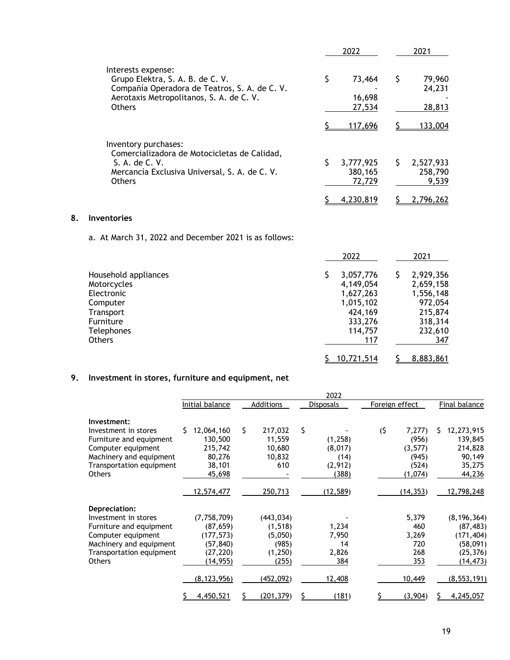|                                                                                                                                                                      | 2022                             | 2021                               |
|----------------------------------------------------------------------------------------------------------------------------------------------------------------------|----------------------------------|------------------------------------|
| Interests expense:<br>Grupo Elektra, S. A. B. de C. V.<br>Compañía Operadora de Teatros, S. A. de C. V.<br>Aerotaxis Metropolitanos, S. A. de C. V.<br><b>Others</b> | \$<br>73,464<br>16,698<br>27,534 | 79,960<br>S<br>24,231<br>28,813    |
|                                                                                                                                                                      | 117,696                          | 133,004                            |
| Inventory purchases:<br>Comercializadora de Motocicletas de Calidad,<br>S. A. de C. V.<br>Mercancía Exclusiva Universal, S. A. de C. V.<br><b>Others</b>             | 3,777,925<br>380,165<br>72,729   | Ś<br>2,527,933<br>258,790<br>9,539 |
|                                                                                                                                                                      | 4,230,819                        | 2,796,262                          |

## **8. Inventories**

a. At March 31, 2022 and December 2021 is as follows:

|                      | 2022       | 2021           |
|----------------------|------------|----------------|
| Household appliances | 3,057,776  | 2,929,356<br>Ş |
| Motorcycles          | 4,149,054  | 2,659,158      |
| Electronic           | 1,627,263  | 1,556,148      |
| Computer             | 1,015,102  | 972,054        |
| Transport            | 424,169    | 215,874        |
| Furniture            | 333,276    | 318,314        |
| <b>Telephones</b>    | 114,757    | 232,610        |
| Others               | 117        | 347            |
|                      | 10,721,514 | 8,883,861      |

# **9. Investment in stores, furniture and equipment, net**

|                          |                  |                  | 2022             |                |                  |
|--------------------------|------------------|------------------|------------------|----------------|------------------|
|                          | Initial balance  | <b>Additions</b> | <b>Disposals</b> | Foreign effect | Final balance    |
| Investment:              |                  |                  |                  |                |                  |
| Investment in stores     | Ś.<br>12,064,160 | \$<br>217,032    | \$               | (5)<br>7,277   | Ś.<br>12,273,915 |
| Furniture and equipment  | 130,500          | 11,559           | (1,258)          | (956)          | 139,845          |
| Computer equipment       | 215,742          | 10,680           | (8,017)          | (3, 577)       | 214,828          |
| Machinery and equipment  | 80,276           | 10,832           | (14)             | (945)          | 90,149           |
| Transportation equipment | 38,101           | 610              | (2,912)          | (524)          | 35,275           |
| <b>Others</b>            | 45,698           |                  | (388)            | (1,074)        | 44,236           |
|                          | 12,574,477       | 250,713          | (12, 589)        | (14, 353)      | 12,798,248       |
| Depreciation:            |                  |                  |                  |                |                  |
| Investment in stores     | (7,758,709)      | (443, 034)       |                  | 5,379          | (8, 196, 364)    |
| Furniture and equipment  | (87, 659)        | (1, 518)         | 1,234            | 460            | (87, 483)        |
| Computer equipment       | (177, 573)       | (5,050)          | 7,950            | 3,269          | (171, 404)       |
| Machinery and equipment  | (57, 840)        | (985)            | 14               | 720            | (58,091)         |
| Transportation equipment | (27, 220)        | (1,250)          | 2,826            | 268            | (25, 376)        |
| <b>Others</b>            | (14,955)         | (255)            | 384              | 353            | (14,473)         |
|                          | (8, 123, 956)    | (452, 092)       | 12,408           | 10,449         | (8, 553, 191)    |
|                          | 4,450,521        | <u>(201,379)</u> | (181)            | (3,904)        | 4,245,057        |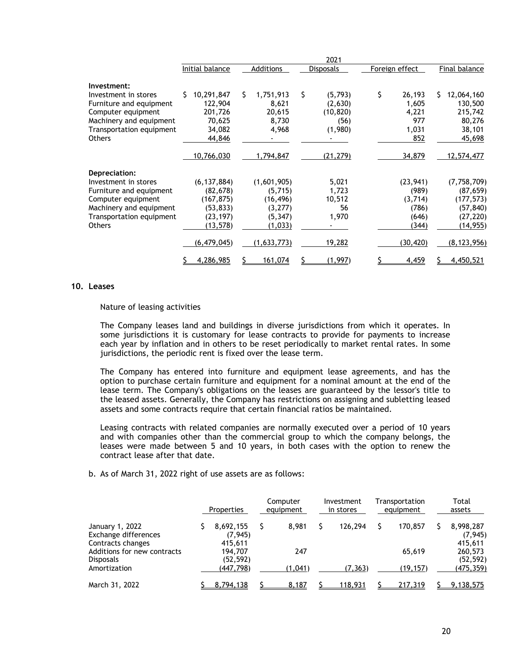|                          |                  |                  | 2021             |                |                  |
|--------------------------|------------------|------------------|------------------|----------------|------------------|
|                          | Initial balance  | <b>Additions</b> | <b>Disposals</b> | Foreign effect | Final balance    |
| Investment:              |                  |                  |                  |                |                  |
| Investment in stores     | 10,291,847<br>Ś. | Ś.<br>1,751,913  | \$<br>(5,793)    | \$<br>26,193   | S.<br>12,064,160 |
| Furniture and equipment  | 122,904          | 8,621            | (2,630)          | 1,605          | 130,500          |
| Computer equipment       | 201,726          | 20,615           | (10, 820)        | 4,221          | 215,742          |
| Machinery and equipment  | 70,625           | 8,730            | (56)             | 977            | 80,276           |
| Transportation equipment | 34,082           | 4,968            | (1,980)          | 1,031          | 38,101           |
| <b>Others</b>            | 44,846           |                  |                  | 852            | 45,698           |
|                          | 10,766,030       | 1,794,847        | (21, 279)        | 34,879         | 12,574,477       |
| Depreciation:            |                  |                  |                  |                |                  |
| Investment in stores     | (6, 137, 884)    | (1,601,905)      | 5,021            | (23, 941)      | (7,758,709)      |
| Furniture and equipment  | (82, 678)        | (5,715)          | 1,723            | (989)          | (87, 659)        |
| Computer equipment       | (167, 875)       | (16, 496)        | 10,512           | (3,714)        | (177, 573)       |
| Machinery and equipment  | (53, 833)        | (3,277)          | 56               | (786)          | (57, 840)        |
| Transportation equipment | (23, 197)        | (5, 347)         | 1,970            | (646)          | (27, 220)        |
| <b>Others</b>            | (13, 578)        | (1,033)          |                  | (344)          | (14, 955)        |
|                          | (6, 479, 045)    | (1,633,773)      | 19,282           | (30, 420)      | (8, 123, 956)    |
|                          | 4,286,985        | 161,074          | (1, 997)         | 4,459          | 4,450,521        |

### **10. Leases**

Nature of leasing activities

The Company leases land and buildings in diverse jurisdictions from which it operates. In some jurisdictions it is customary for lease contracts to provide for payments to increase each year by inflation and in others to be reset periodically to market rental rates. In some jurisdictions, the periodic rent is fixed over the lease term.

The Company has entered into furniture and equipment lease agreements, and has the option to purchase certain furniture and equipment for a nominal amount at the end of the lease term. The Company's obligations on the leases are guaranteed by the lessor's title to the leased assets. Generally, the Company has restrictions on assigning and subletting leased assets and some contracts require that certain financial ratios be maintained.

Leasing contracts with related companies are normally executed over a period of 10 years and with companies other than the commercial group to which the company belongs, the leases were made between 5 and 10 years, in both cases with the option to renew the contract lease after that date.

b. As of March 31, 2022 right of use assets are as follows:

|                                                              | Properties                       | Computer<br>equipment | Investment<br>in stores | Transportation<br>equipment | Total<br>assets                  |
|--------------------------------------------------------------|----------------------------------|-----------------------|-------------------------|-----------------------------|----------------------------------|
| January 1, 2022<br>Exchange differences<br>Contracts changes | 8,692,155<br>(7, 945)<br>415,611 | 8.981                 | 126,294                 | 170,857                     | 8,998,287<br>(7, 945)<br>415,611 |
| Additions for new contracts<br><b>Disposals</b>              | 194.707<br>(52, 592)             | 247                   |                         | 65,619                      | 260,573<br>(52, 592)             |
| Amortization                                                 | (447,798)                        | (1.041)               | (7, 363)                | (19, 157)                   | (475, 359)                       |
| March 31, 2022                                               | 8,794,138                        | 8,187                 | 118,931                 | 217,319                     | 9,138,575                        |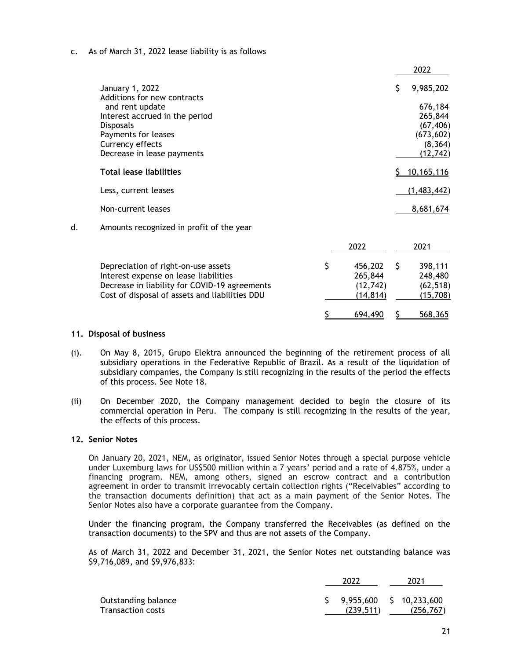## c. As of March 31, 2022 lease liability is as follows

|    |                                                    |               |     | 2022               |
|----|----------------------------------------------------|---------------|-----|--------------------|
|    | January 1, 2022                                    |               | \$. | 9,985,202          |
|    | Additions for new contracts                        |               |     |                    |
|    | and rent update                                    |               |     | 676,184<br>265,844 |
|    | Interest accrued in the period<br><b>Disposals</b> |               |     | (67, 406)          |
|    | Payments for leases                                |               |     | (673, 602)         |
|    | Currency effects                                   |               |     | (8, 364)           |
|    |                                                    |               |     |                    |
|    | Decrease in lease payments                         |               |     | (12, 742)          |
|    | <b>Total lease liabilities</b>                     |               |     | 10,165,116         |
|    | Less, current leases                               |               |     | (1,483,442)        |
|    | Non-current leases                                 |               |     | 8,681,674          |
| d. | Amounts recognized in profit of the year           |               |     |                    |
|    |                                                    | 2022          |     | 2021               |
|    | Depreciation of right-on-use assets                | \$<br>456,202 | \$  | 398,111            |
|    | Interest expense on lease liabilities              | 265,844       |     | 248,480            |
|    | Decrease in liability for COVID-19 agreements      | (12, 742)     |     | (62, 518)          |
|    | Cost of disposal of assets and liabilities DDU     | (14, 814)     |     | (15, 708)          |

## **11. Disposal of business**

- (i). On May 8, 2015, Grupo Elektra announced the beginning of the retirement process of all subsidiary operations in the Federative Republic of Brazil. As a result of the liquidation of subsidiary companies, the Company is still recognizing in the results of the period the effects of this process. See Note 18.
- (ii) On December 2020, the Company management decided to begin the closure of its commercial operation in Peru. The company is still recognizing in the results of the year, the effects of this process.

## **12. Senior Notes**

On January 20, 2021, NEM, as originator, issued Senior Notes through a special purpose vehicle under Luxemburg laws for US\$500 million within a 7 years' period and a rate of 4.875%, under a financing program. NEM, among others, signed an escrow contract and a contribution agreement in order to transmit irrevocably certain collection rights ("Receivables" according to the transaction documents definition) that act as a main payment of the Senior Notes. The Senior Notes also have a corporate guarantee from the Company.

Under the financing program, the Company transferred the Receivables (as defined on the transaction documents) to the SPV and thus are not assets of the Company.

As of March 31, 2022 and December 31, 2021, the Senior Notes net outstanding balance was \$9,716,089, and \$9,976,833:

|                     | 2022                       | 2021       |  |
|---------------------|----------------------------|------------|--|
| Outstanding balance | $$9,955,600 \ $10,233,600$ |            |  |
| Transaction costs   | (239.511)                  | (256, 767) |  |

 $$5$  694,490 \$ 568,365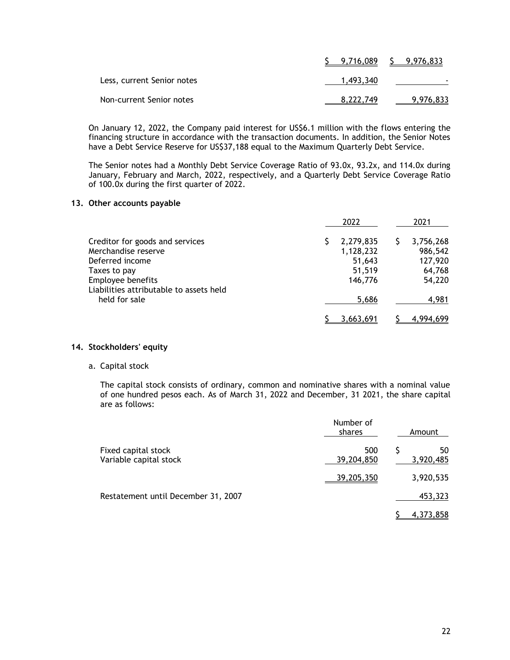|                            | $5$ 9,716,089 $5$ 9,976,833 |           |
|----------------------------|-----------------------------|-----------|
| Less, current Senior notes | 1.493.340                   |           |
| Non-current Senior notes   | 8,222,749                   | 9,976,833 |

On January 12, 2022, the Company paid interest for US\$6.1 million with the flows entering the financing structure in accordance with the transaction documents. In addition, the Senior Notes have a Debt Service Reserve for US\$37,188 equal to the Maximum Quarterly Debt Service.

The Senior notes had a Monthly Debt Service Coverage Ratio of 93.0x, 93.2x, and 114.0x during January, February and March, 2022, respectively, and a Quarterly Debt Service Coverage Ratio of 100.0x during the first quarter of 2022.

## **13. Other accounts payable**

|                                                              | 2022                   | 2021                 |
|--------------------------------------------------------------|------------------------|----------------------|
| Creditor for goods and services<br>Merchandise reserve       | 2,279,835<br>1,128,232 | 3,756,268<br>986,542 |
| Deferred income<br>Taxes to pay                              | 51,643<br>51,519       | 127,920<br>64,768    |
| Employee benefits<br>Liabilities attributable to assets held | 146,776                | 54,220               |
| held for sale                                                | 5,686                  | 4,981                |
|                                                              | 3,663,691              | 4.994.699            |

## **14. Stockholders' equity**

### a. Capital stock

The capital stock consists of ordinary, common and nominative shares with a nominal value of one hundred pesos each. As of March 31, 2022 and December, 31 2021, the share capital are as follows:

|                                               | Number of<br>shares | Amount           |
|-----------------------------------------------|---------------------|------------------|
| Fixed capital stock<br>Variable capital stock | 500<br>39,204,850   | 50<br>3,920,485  |
|                                               | 39,205,350          | 3,920,535        |
| Restatement until December 31, 2007           |                     | 453,323          |
|                                               |                     | <u>4,373,858</u> |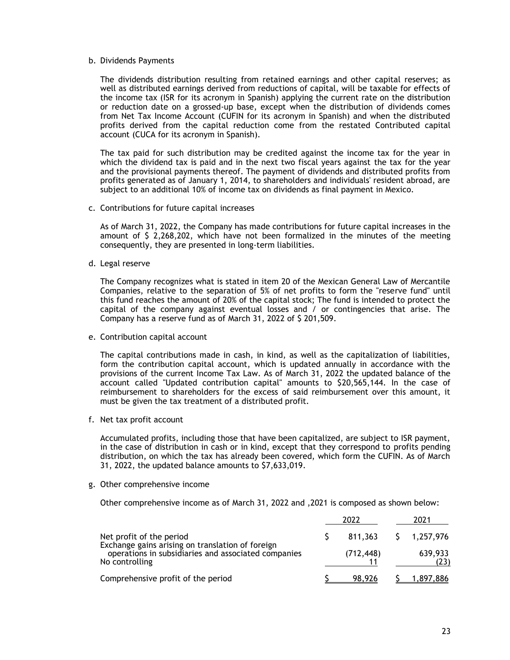#### b. Dividends Payments

The dividends distribution resulting from retained earnings and other capital reserves; as well as distributed earnings derived from reductions of capital, will be taxable for effects of the income tax (ISR for its acronym in Spanish) applying the current rate on the distribution or reduction date on a grossed-up base, except when the distribution of dividends comes from Net Tax Income Account (CUFIN for its acronym in Spanish) and when the distributed profits derived from the capital reduction come from the restated Contributed capital account (CUCA for its acronym in Spanish).

The tax paid for such distribution may be credited against the income tax for the year in which the dividend tax is paid and in the next two fiscal years against the tax for the year and the provisional payments thereof. The payment of dividends and distributed profits from profits generated as of January 1, 2014, to shareholders and individuals' resident abroad, are subject to an additional 10% of income tax on dividends as final payment in Mexico.

c. Contributions for future capital increases

As of March 31, 2022, the Company has made contributions for future capital increases in the amount of \$ 2,268,202, which have not been formalized in the minutes of the meeting consequently, they are presented in long-term liabilities.

d. Legal reserve

The Company recognizes what is stated in item 20 of the Mexican General Law of Mercantile Companies, relative to the separation of 5% of net profits to form the "reserve fund" until this fund reaches the amount of 20% of the capital stock; The fund is intended to protect the capital of the company against eventual losses and / or contingencies that arise. The Company has a reserve fund as of March 31, 2022 of \$ 201,509.

e. Contribution capital account

The capital contributions made in cash, in kind, as well as the capitalization of liabilities, form the contribution capital account, which is updated annually in accordance with the provisions of the current Income Tax Law. As of March 31, 2022 the updated balance of the account called "Updated contribution capital" amounts to \$20,565,144. In the case of reimbursement to shareholders for the excess of said reimbursement over this amount, it must be given the tax treatment of a distributed profit.

f. Net tax profit account

Accumulated profits, including those that have been capitalized, are subject to ISR payment, in the case of distribution in cash or in kind, except that they correspond to profits pending distribution, on which the tax has already been covered, which form the CUFIN. As of March 31, 2022, the updated balance amounts to \$7,633,019.

g. Other comprehensive income

Other comprehensive income as of March 31, 2022 and ,2021 is composed as shown below:

|                                                                              |  | 2022       |  | 2021                |  |
|------------------------------------------------------------------------------|--|------------|--|---------------------|--|
| Net profit of the period<br>Exchange gains arising on translation of foreign |  |            |  | 811,363 S 1,257,976 |  |
| operations in subsidiaries and associated companies<br>No controlling        |  | (712, 448) |  | 639,933             |  |
| Comprehensive profit of the period                                           |  | 98.926     |  | 1,897,886           |  |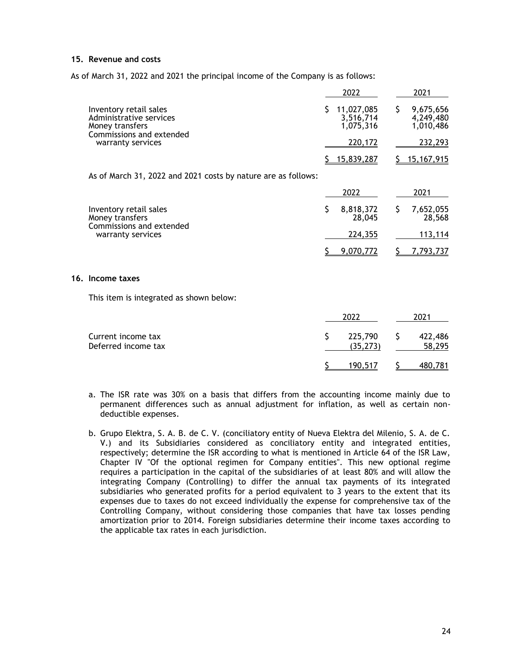## **15. Revenue and costs**

As of March 31, 2022 and 2021 the principal income of the Company is as follows:

|                                                                                                                       | 2022                                 | 2021                                |
|-----------------------------------------------------------------------------------------------------------------------|--------------------------------------|-------------------------------------|
| Inventory retail sales<br>Administrative services<br>Money transfers<br>Commissions and extended<br>warranty services | 11,027,085<br>3,516,714<br>1.075.316 | 9,675,656<br>4,249,480<br>1,010,486 |
|                                                                                                                       | 220,172                              | 232,293                             |
|                                                                                                                       | \$15,839,287                         | 15,167,915                          |

As of March 31, 2022 and 2021 costs by nature are as follows:

|                                                                                            | 2022                | 2021                |
|--------------------------------------------------------------------------------------------|---------------------|---------------------|
| Inventory retail sales<br>Money transfers<br>Commissions and extended<br>warranty services | 8,818,372<br>28,045 | 7,652,055<br>28,568 |
|                                                                                            | 224,355             | 113.114             |
|                                                                                            | 9,070,772           | 7,793,737           |

#### **16. Income taxes**

This item is integrated as shown below:

|                                           | 2022                    | 2021              |
|-------------------------------------------|-------------------------|-------------------|
| Current income tax<br>Deferred income tax | 225,790 \$<br>(35, 273) | 422,486<br>58,295 |
|                                           | 190,517                 | 480,781           |

- a. The ISR rate was 30% on a basis that differs from the accounting income mainly due to permanent differences such as annual adjustment for inflation, as well as certain nondeductible expenses.
- b. Grupo Elektra, S. A. B. de C. V. (conciliatory entity of Nueva Elektra del Milenio, S. A. de C. V.) and its Subsidiaries considered as conciliatory entity and integrated entities, respectively; determine the ISR according to what is mentioned in Article 64 of the ISR Law, Chapter IV "Of the optional regimen for Company entities". This new optional regime requires a participation in the capital of the subsidiaries of at least 80% and will allow the integrating Company (Controlling) to differ the annual tax payments of its integrated subsidiaries who generated profits for a period equivalent to 3 years to the extent that its expenses due to taxes do not exceed individually the expense for comprehensive tax of the Controlling Company, without considering those companies that have tax losses pending amortization prior to 2014. Foreign subsidiaries determine their income taxes according to the applicable tax rates in each jurisdiction.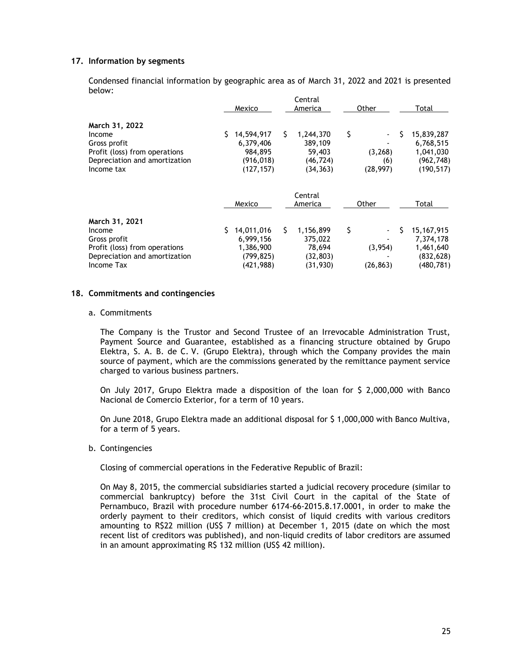## **17. Information by segments**

Condensed financial information by geographic area as of March 31, 2022 and 2021 is presented below:

|                                                                                                                          | Mexico                                                               | Central<br>America                                             | Other                              | Total                                                                   |
|--------------------------------------------------------------------------------------------------------------------------|----------------------------------------------------------------------|----------------------------------------------------------------|------------------------------------|-------------------------------------------------------------------------|
| March 31, 2022<br>Income<br>Gross profit<br>Profit (loss) from operations<br>Depreciation and amortization<br>Income tax | S.<br>14,594,917<br>6,379,406<br>984,895<br>(916, 018)<br>(127, 157) | S.<br>1,244,370<br>389,109<br>59,403<br>(46, 724)<br>(34, 363) | \$<br>(3, 268)<br>(6)<br>(28, 997) | \$<br>15,839,287<br>6,768,515<br>1,041,030<br>(962, 748)<br>(190, 517)  |
|                                                                                                                          | Mexico                                                               | Central<br>America                                             | Other                              | Total                                                                   |
| March 31, 2021<br>Income<br>Gross profit<br>Profit (loss) from operations<br>Depreciation and amortization<br>Income Tax | 14,011,016<br>S<br>6,999,156<br>1,386,900<br>(799, 825)<br>(421,988) | 1,156,899<br>S.<br>375,022<br>78,694<br>(32, 803)<br>(31, 930) | \$<br>(3, 954)<br>(26, 863)        | S<br>15, 167, 915<br>7,374,178<br>1,461,640<br>(832, 628)<br>(480, 781) |

## **18. Commitments and contingencies**

#### a. Commitments

The Company is the Trustor and Second Trustee of an Irrevocable Administration Trust, Payment Source and Guarantee, established as a financing structure obtained by Grupo Elektra, S. A. B. de C. V. (Grupo Elektra), through which the Company provides the main source of payment, which are the commissions generated by the remittance payment service charged to various business partners.

On July 2017, Grupo Elektra made a disposition of the loan for \$ 2,000,000 with Banco Nacional de Comercio Exterior, for a term of 10 years.

On June 2018, Grupo Elektra made an additional disposal for \$ 1,000,000 with Banco Multiva, for a term of 5 years.

#### b. Contingencies

Closing of commercial operations in the Federative Republic of Brazil:

On May 8, 2015, the commercial subsidiaries started a judicial recovery procedure (similar to commercial bankruptcy) before the 31st Civil Court in the capital of the State of Pernambuco, Brazil with procedure number 6174-66-2015.8.17.0001, in order to make the orderly payment to their creditors, which consist of liquid credits with various creditors amounting to R\$22 million (US\$ 7 million) at December 1, 2015 (date on which the most recent list of creditors was published), and non-liquid credits of labor creditors are assumed in an amount approximating R\$ 132 million (US\$ 42 million).